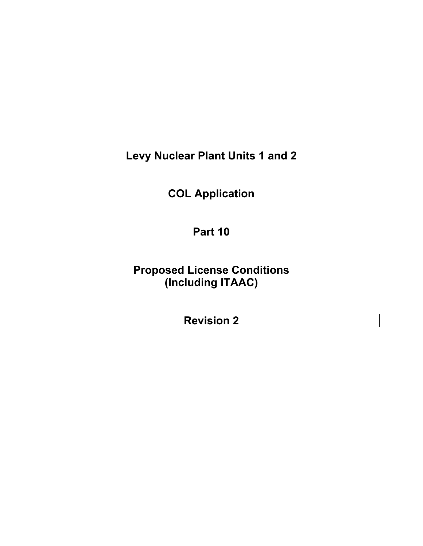**Levy Nuclear Plant Units 1 and 2** 

**COL Application** 

**Part 10** 

**Proposed License Conditions (Including ITAAC)** 

**Revision 2**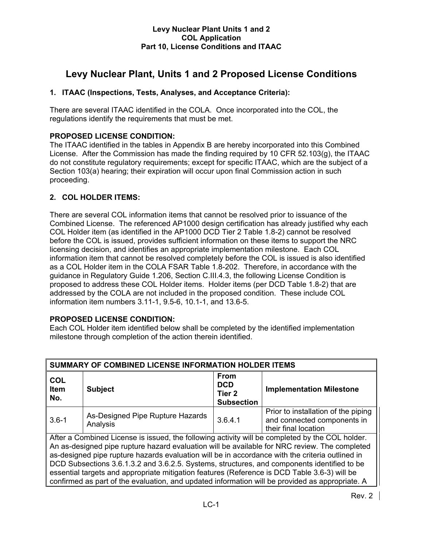# **Levy Nuclear Plant, Units 1 and 2 Proposed License Conditions**

# **1. ITAAC (Inspections, Tests, Analyses, and Acceptance Criteria):**

There are several ITAAC identified in the COLA. Once incorporated into the COL, the regulations identify the requirements that must be met.

# **PROPOSED LICENSE CONDITION:**

The ITAAC identified in the tables in Appendix B are hereby incorporated into this Combined License. After the Commission has made the finding required by 10 CFR 52.103(g), the ITAAC do not constitute regulatory requirements; except for specific ITAAC, which are the subject of a Section 103(a) hearing; their expiration will occur upon final Commission action in such proceeding.

# **2. COL HOLDER ITEMS:**

There are several COL information items that cannot be resolved prior to issuance of the Combined License. The referenced AP1000 design certification has already justified why each COL Holder item (as identified in the AP1000 DCD Tier 2 Table 1.8-2) cannot be resolved before the COL is issued, provides sufficient information on these items to support the NRC licensing decision, and identifies an appropriate implementation milestone. Each COL information item that cannot be resolved completely before the COL is issued is also identified as a COL Holder item in the COLA FSAR Table 1.8-202. Therefore, in accordance with the guidance in Regulatory Guide 1.206, Section C.III.4.3, the following License Condition is proposed to address these COL Holder items. Holder items (per DCD Table 1.8-2) that are addressed by the COLA are not included in the proposed condition. These include COL information item numbers 3.11-1, 9.5-6, 10.1-1, and 13.6-5.

# **PROPOSED LICENSE CONDITION:**

Each COL Holder item identified below shall be completed by the identified implementation milestone through completion of the action therein identified.

| SUMMARY OF COMBINED LICENSE INFORMATION HOLDER ITEMS                                                                                                                                                                                                                                                                                                                                                                                                                                                                                                                                                  |                                              |                                                                     |                                                                                            |  |
|-------------------------------------------------------------------------------------------------------------------------------------------------------------------------------------------------------------------------------------------------------------------------------------------------------------------------------------------------------------------------------------------------------------------------------------------------------------------------------------------------------------------------------------------------------------------------------------------------------|----------------------------------------------|---------------------------------------------------------------------|--------------------------------------------------------------------------------------------|--|
| <b>COL</b><br><b>Item</b><br>No.                                                                                                                                                                                                                                                                                                                                                                                                                                                                                                                                                                      | <b>Subject</b>                               | <b>From</b><br><b>DCD</b><br>Tier <sub>2</sub><br><b>Subsection</b> | <b>Implementation Milestone</b>                                                            |  |
| $3.6 - 1$                                                                                                                                                                                                                                                                                                                                                                                                                                                                                                                                                                                             | As-Designed Pipe Rupture Hazards<br>Analysis | 3.6.4.1                                                             | Prior to installation of the piping<br>and connected components in<br>their final location |  |
| After a Combined License is issued, the following activity will be completed by the COL holder.<br>An as-designed pipe rupture hazard evaluation will be available for NRC review. The completed<br>as-designed pipe rupture hazards evaluation will be in accordance with the criteria outlined in<br>DCD Subsections 3.6.1.3.2 and 3.6.2.5. Systems, structures, and components identified to be<br>essential targets and appropriate mitigation features (Reference is DCD Table 3.6-3) will be<br>confirmed as part of the evaluation, and updated information will be provided as appropriate. A |                                              |                                                                     |                                                                                            |  |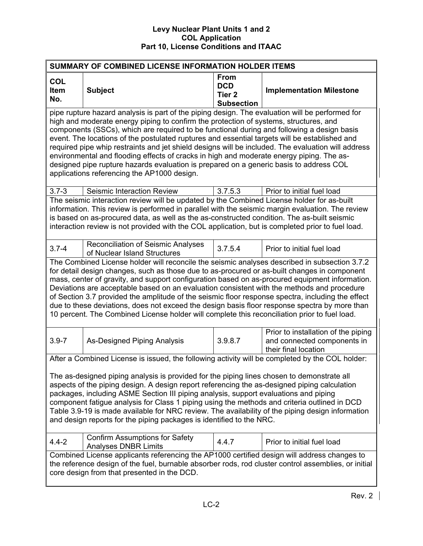| SUMMARY OF COMBINED LICENSE INFORMATION HOLDER ITEMS                                                                                                                                                                                                                                                                                                                                                                                                                                                                                                                                                                                                                                                                               |                                                                                                                                                                                                                                                                                                                                                                                                    |                                                                     |                                                                                            |  |
|------------------------------------------------------------------------------------------------------------------------------------------------------------------------------------------------------------------------------------------------------------------------------------------------------------------------------------------------------------------------------------------------------------------------------------------------------------------------------------------------------------------------------------------------------------------------------------------------------------------------------------------------------------------------------------------------------------------------------------|----------------------------------------------------------------------------------------------------------------------------------------------------------------------------------------------------------------------------------------------------------------------------------------------------------------------------------------------------------------------------------------------------|---------------------------------------------------------------------|--------------------------------------------------------------------------------------------|--|
| COL<br><b>Item</b><br>No.                                                                                                                                                                                                                                                                                                                                                                                                                                                                                                                                                                                                                                                                                                          | <b>Subject</b>                                                                                                                                                                                                                                                                                                                                                                                     | <b>From</b><br><b>DCD</b><br>Tier <sub>2</sub><br><b>Subsection</b> | <b>Implementation Milestone</b>                                                            |  |
| pipe rupture hazard analysis is part of the piping design. The evaluation will be performed for<br>high and moderate energy piping to confirm the protection of systems, structures, and<br>components (SSCs), which are required to be functional during and following a design basis<br>event. The locations of the postulated ruptures and essential targets will be established and<br>required pipe whip restraints and jet shield designs will be included. The evaluation will address<br>environmental and flooding effects of cracks in high and moderate energy piping. The as-<br>designed pipe rupture hazards evaluation is prepared on a generic basis to address COL<br>applications referencing the AP1000 design. |                                                                                                                                                                                                                                                                                                                                                                                                    |                                                                     |                                                                                            |  |
| $3.7 - 3$                                                                                                                                                                                                                                                                                                                                                                                                                                                                                                                                                                                                                                                                                                                          | Seismic Interaction Review                                                                                                                                                                                                                                                                                                                                                                         | 3.7.5.3                                                             | Prior to initial fuel load                                                                 |  |
|                                                                                                                                                                                                                                                                                                                                                                                                                                                                                                                                                                                                                                                                                                                                    | The seismic interaction review will be updated by the Combined License holder for as-built<br>information. This review is performed in parallel with the seismic margin evaluation. The review<br>is based on as-procured data, as well as the as-constructed condition. The as-built seismic<br>interaction review is not provided with the COL application, but is completed prior to fuel load. |                                                                     |                                                                                            |  |
| $3.7 - 4$                                                                                                                                                                                                                                                                                                                                                                                                                                                                                                                                                                                                                                                                                                                          | <b>Reconciliation of Seismic Analyses</b><br>of Nuclear Island Structures                                                                                                                                                                                                                                                                                                                          | 3.7.5.4                                                             | Prior to initial fuel load                                                                 |  |
| The Combined License holder will reconcile the seismic analyses described in subsection 3.7.2<br>for detail design changes, such as those due to as-procured or as-built changes in component<br>mass, center of gravity, and support configuration based on as-procured equipment information.<br>Deviations are acceptable based on an evaluation consistent with the methods and procedure<br>of Section 3.7 provided the amplitude of the seismic floor response spectra, including the effect<br>due to these deviations, does not exceed the design basis floor response spectra by more than<br>10 percent. The Combined License holder will complete this reconciliation prior to fuel load.                               |                                                                                                                                                                                                                                                                                                                                                                                                    |                                                                     |                                                                                            |  |
| $3.9 - 7$                                                                                                                                                                                                                                                                                                                                                                                                                                                                                                                                                                                                                                                                                                                          | As-Designed Piping Analysis                                                                                                                                                                                                                                                                                                                                                                        | 3.9.8.7                                                             | Prior to installation of the piping<br>and connected components in<br>their final location |  |
|                                                                                                                                                                                                                                                                                                                                                                                                                                                                                                                                                                                                                                                                                                                                    | After a Combined License is issued, the following activity will be completed by the COL holder:                                                                                                                                                                                                                                                                                                    |                                                                     |                                                                                            |  |
| The as-designed piping analysis is provided for the piping lines chosen to demonstrate all<br>aspects of the piping design. A design report referencing the as-designed piping calculation<br>packages, including ASME Section III piping analysis, support evaluations and piping<br>component fatigue analysis for Class 1 piping using the methods and criteria outlined in DCD<br>Table 3.9-19 is made available for NRC review. The availability of the piping design information<br>and design reports for the piping packages is identified to the NRC.                                                                                                                                                                     |                                                                                                                                                                                                                                                                                                                                                                                                    |                                                                     |                                                                                            |  |
| $4.4 - 2$                                                                                                                                                                                                                                                                                                                                                                                                                                                                                                                                                                                                                                                                                                                          | <b>Confirm Assumptions for Safety</b><br><b>Analyses DNBR Limits</b>                                                                                                                                                                                                                                                                                                                               | 4.4.7                                                               | Prior to initial fuel load                                                                 |  |
|                                                                                                                                                                                                                                                                                                                                                                                                                                                                                                                                                                                                                                                                                                                                    | Combined License applicants referencing the AP1000 certified design will address changes to<br>the reference design of the fuel, burnable absorber rods, rod cluster control assemblies, or initial<br>core design from that presented in the DCD.                                                                                                                                                 |                                                                     |                                                                                            |  |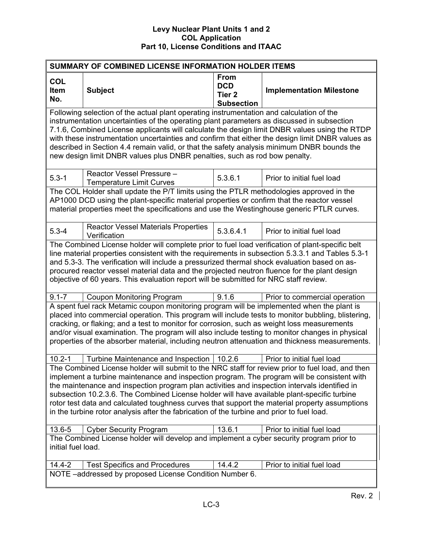| SUMMARY OF COMBINED LICENSE INFORMATION HOLDER ITEMS                                                                                                                                                                                                                                                                                                                                                                                                                                                                                                                                                                                                                                        |                                                                                                                                                                                                                                                                                                                                                                                                                                                                                                                                   |                                                              |                                 |  |
|---------------------------------------------------------------------------------------------------------------------------------------------------------------------------------------------------------------------------------------------------------------------------------------------------------------------------------------------------------------------------------------------------------------------------------------------------------------------------------------------------------------------------------------------------------------------------------------------------------------------------------------------------------------------------------------------|-----------------------------------------------------------------------------------------------------------------------------------------------------------------------------------------------------------------------------------------------------------------------------------------------------------------------------------------------------------------------------------------------------------------------------------------------------------------------------------------------------------------------------------|--------------------------------------------------------------|---------------------------------|--|
| <b>COL</b><br>Item<br>No.                                                                                                                                                                                                                                                                                                                                                                                                                                                                                                                                                                                                                                                                   | <b>Subject</b>                                                                                                                                                                                                                                                                                                                                                                                                                                                                                                                    | From<br><b>DCD</b><br>Tier <sub>2</sub><br><b>Subsection</b> | <b>Implementation Milestone</b> |  |
| Following selection of the actual plant operating instrumentation and calculation of the<br>instrumentation uncertainties of the operating plant parameters as discussed in subsection<br>7.1.6, Combined License applicants will calculate the design limit DNBR values using the RTDP<br>with these instrumentation uncertainties and confirm that either the design limit DNBR values as<br>described in Section 4.4 remain valid, or that the safety analysis minimum DNBR bounds the<br>new design limit DNBR values plus DNBR penalties, such as rod bow penalty.                                                                                                                     |                                                                                                                                                                                                                                                                                                                                                                                                                                                                                                                                   |                                                              |                                 |  |
| $5.3 - 1$                                                                                                                                                                                                                                                                                                                                                                                                                                                                                                                                                                                                                                                                                   | Reactor Vessel Pressure -<br><b>Temperature Limit Curves</b>                                                                                                                                                                                                                                                                                                                                                                                                                                                                      | 5.3.6.1                                                      | Prior to initial fuel load      |  |
|                                                                                                                                                                                                                                                                                                                                                                                                                                                                                                                                                                                                                                                                                             | The COL Holder shall update the P/T limits using the PTLR methodologies approved in the<br>AP1000 DCD using the plant-specific material properties or confirm that the reactor vessel<br>material properties meet the specifications and use the Westinghouse generic PTLR curves.                                                                                                                                                                                                                                                |                                                              |                                 |  |
| $5.3 - 4$                                                                                                                                                                                                                                                                                                                                                                                                                                                                                                                                                                                                                                                                                   | <b>Reactor Vessel Materials Properties</b><br>Verification                                                                                                                                                                                                                                                                                                                                                                                                                                                                        | 5.3.6.4.1                                                    | Prior to initial fuel load      |  |
| $9.1 - 7$                                                                                                                                                                                                                                                                                                                                                                                                                                                                                                                                                                                                                                                                                   | The Combined License holder will complete prior to fuel load verification of plant-specific belt<br>line material properties consistent with the requirements in subsection 5.3.3.1 and Tables 5.3-1<br>and 5.3-3. The verification will include a pressurized thermal shock evaluation based on as-<br>procured reactor vessel material data and the projected neutron fluence for the plant design<br>objective of 60 years. This evaluation report will be submitted for NRC staff review.<br><b>Coupon Monitoring Program</b> | 9.1.6                                                        | Prior to commercial operation   |  |
| A spent fuel rack Metamic coupon monitoring program will be implemented when the plant is<br>placed into commercial operation. This program will include tests to monitor bubbling, blistering,<br>cracking, or flaking; and a test to monitor for corrosion, such as weight loss measurements<br>and/or visual examination. The program will also include testing to monitor changes in physical<br>properties of the absorber material, including neutron attenuation and thickness measurements.                                                                                                                                                                                         |                                                                                                                                                                                                                                                                                                                                                                                                                                                                                                                                   |                                                              |                                 |  |
| $10.2 - 1$<br>Turbine Maintenance and Inspection<br>10.2.6<br>Prior to initial fuel load<br>The Combined License holder will submit to the NRC staff for review prior to fuel load, and then<br>implement a turbine maintenance and inspection program. The program will be consistent with<br>the maintenance and inspection program plan activities and inspection intervals identified in<br>subsection 10.2.3.6. The Combined License holder will have available plant-specific turbine<br>rotor test data and calculated toughness curves that support the material property assumptions<br>in the turbine rotor analysis after the fabrication of the turbine and prior to fuel load. |                                                                                                                                                                                                                                                                                                                                                                                                                                                                                                                                   |                                                              |                                 |  |
| 13.6-5                                                                                                                                                                                                                                                                                                                                                                                                                                                                                                                                                                                                                                                                                      | <b>Cyber Security Program</b>                                                                                                                                                                                                                                                                                                                                                                                                                                                                                                     | 13.6.1                                                       | Prior to initial fuel load      |  |
| The Combined License holder will develop and implement a cyber security program prior to<br>initial fuel load.                                                                                                                                                                                                                                                                                                                                                                                                                                                                                                                                                                              |                                                                                                                                                                                                                                                                                                                                                                                                                                                                                                                                   |                                                              |                                 |  |
| $14.4 - 2$                                                                                                                                                                                                                                                                                                                                                                                                                                                                                                                                                                                                                                                                                  | <b>Test Specifics and Procedures</b>                                                                                                                                                                                                                                                                                                                                                                                                                                                                                              | 14.4.2                                                       | Prior to initial fuel load      |  |
| NOTE -addressed by proposed License Condition Number 6.                                                                                                                                                                                                                                                                                                                                                                                                                                                                                                                                                                                                                                     |                                                                                                                                                                                                                                                                                                                                                                                                                                                                                                                                   |                                                              |                                 |  |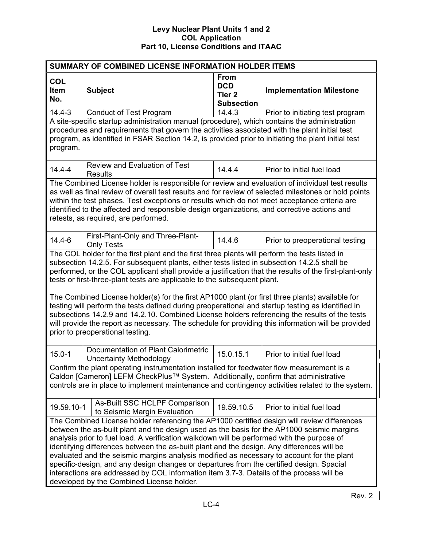| SUMMARY OF COMBINED LICENSE INFORMATION HOLDER ITEMS                                                                                                                                                                                                                                                                                                                                                                                                                                                                                                                                                                                                                                                                                                                                                                                   |                                                                                                                                                                                                                                                                                                                                                                                                                                                |                                                                     |                                  |  |
|----------------------------------------------------------------------------------------------------------------------------------------------------------------------------------------------------------------------------------------------------------------------------------------------------------------------------------------------------------------------------------------------------------------------------------------------------------------------------------------------------------------------------------------------------------------------------------------------------------------------------------------------------------------------------------------------------------------------------------------------------------------------------------------------------------------------------------------|------------------------------------------------------------------------------------------------------------------------------------------------------------------------------------------------------------------------------------------------------------------------------------------------------------------------------------------------------------------------------------------------------------------------------------------------|---------------------------------------------------------------------|----------------------------------|--|
| <b>COL</b><br>Item<br>No.                                                                                                                                                                                                                                                                                                                                                                                                                                                                                                                                                                                                                                                                                                                                                                                                              | <b>Subject</b>                                                                                                                                                                                                                                                                                                                                                                                                                                 | <b>From</b><br><b>DCD</b><br>Tier <sub>2</sub><br><b>Subsection</b> | <b>Implementation Milestone</b>  |  |
| $14.4 - 3$                                                                                                                                                                                                                                                                                                                                                                                                                                                                                                                                                                                                                                                                                                                                                                                                                             | <b>Conduct of Test Program</b>                                                                                                                                                                                                                                                                                                                                                                                                                 | 14.4.3                                                              | Prior to initiating test program |  |
| program.                                                                                                                                                                                                                                                                                                                                                                                                                                                                                                                                                                                                                                                                                                                                                                                                                               | A site-specific startup administration manual (procedure), which contains the administration<br>procedures and requirements that govern the activities associated with the plant initial test<br>program, as identified in FSAR Section 14.2, is provided prior to initiating the plant initial test                                                                                                                                           |                                                                     |                                  |  |
| $14.4 - 4$                                                                                                                                                                                                                                                                                                                                                                                                                                                                                                                                                                                                                                                                                                                                                                                                                             | <b>Review and Evaluation of Test</b><br><b>Results</b>                                                                                                                                                                                                                                                                                                                                                                                         | 14.4.4                                                              | Prior to initial fuel load       |  |
|                                                                                                                                                                                                                                                                                                                                                                                                                                                                                                                                                                                                                                                                                                                                                                                                                                        | The Combined License holder is responsible for review and evaluation of individual test results<br>as well as final review of overall test results and for review of selected milestones or hold points<br>within the test phases. Test exceptions or results which do not meet acceptance criteria are<br>identified to the affected and responsible design organizations, and corrective actions and<br>retests, as required, are performed. |                                                                     |                                  |  |
| $14.4 - 6$                                                                                                                                                                                                                                                                                                                                                                                                                                                                                                                                                                                                                                                                                                                                                                                                                             | First-Plant-Only and Three-Plant-<br><b>Only Tests</b>                                                                                                                                                                                                                                                                                                                                                                                         | 14.4.6                                                              | Prior to preoperational testing  |  |
| The COL holder for the first plant and the first three plants will perform the tests listed in<br>subsection 14.2.5. For subsequent plants, either tests listed in subsection 14.2.5 shall be<br>performed, or the COL applicant shall provide a justification that the results of the first-plant-only<br>tests or first-three-plant tests are applicable to the subsequent plant.<br>The Combined License holder(s) for the first AP1000 plant (or first three plants) available for<br>testing will perform the tests defined during preoperational and startup testing as identified in<br>subsections 14.2.9 and 14.2.10. Combined License holders referencing the results of the tests<br>will provide the report as necessary. The schedule for providing this information will be provided<br>prior to preoperational testing. |                                                                                                                                                                                                                                                                                                                                                                                                                                                |                                                                     |                                  |  |
| $15.0 - 1$                                                                                                                                                                                                                                                                                                                                                                                                                                                                                                                                                                                                                                                                                                                                                                                                                             | Documentation of Plant Calorimetric<br><b>Uncertainty Methodology</b>                                                                                                                                                                                                                                                                                                                                                                          | 15.0.15.1                                                           | Prior to initial fuel load       |  |
| Confirm the plant operating instrumentation installed for feedwater flow measurement is a<br>Caldon [Cameron] LEFM CheckPlus™ System. Additionally, confirm that administrative<br>controls are in place to implement maintenance and contingency activities related to the system.                                                                                                                                                                                                                                                                                                                                                                                                                                                                                                                                                    |                                                                                                                                                                                                                                                                                                                                                                                                                                                |                                                                     |                                  |  |
| As-Built SSC HCLPF Comparison<br>19.59.10.5<br>19.59.10-1<br>Prior to initial fuel load<br>to Seismic Margin Evaluation                                                                                                                                                                                                                                                                                                                                                                                                                                                                                                                                                                                                                                                                                                                |                                                                                                                                                                                                                                                                                                                                                                                                                                                |                                                                     |                                  |  |
| The Combined License holder referencing the AP1000 certified design will review differences<br>between the as-built plant and the design used as the basis for the AP1000 seismic margins<br>analysis prior to fuel load. A verification walkdown will be performed with the purpose of<br>identifying differences between the as-built plant and the design. Any differences will be<br>evaluated and the seismic margins analysis modified as necessary to account for the plant<br>specific-design, and any design changes or departures from the certified design. Spacial<br>interactions are addressed by COL information item 3.7-3. Details of the process will be<br>developed by the Combined License holder.                                                                                                                |                                                                                                                                                                                                                                                                                                                                                                                                                                                |                                                                     |                                  |  |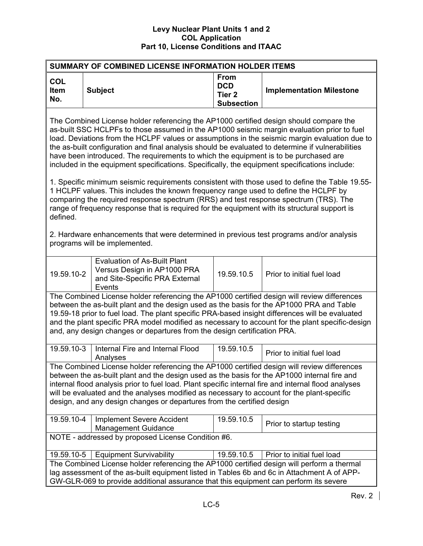| SUMMARY OF COMBINED LICENSE INFORMATION HOLDER ITEMS                                                                                                                                                                                                                                                                                                                                                                                                                                                                                                                                |  |  |  |  |
|-------------------------------------------------------------------------------------------------------------------------------------------------------------------------------------------------------------------------------------------------------------------------------------------------------------------------------------------------------------------------------------------------------------------------------------------------------------------------------------------------------------------------------------------------------------------------------------|--|--|--|--|
| <b>From</b><br><b>COL</b><br><b>DCD</b><br>Item<br><b>Subject</b><br><b>Implementation Milestone</b><br>Tier <sub>2</sub><br>No.<br><b>Subsection</b>                                                                                                                                                                                                                                                                                                                                                                                                                               |  |  |  |  |
| The Combined License holder referencing the AP1000 certified design should compare the<br>as-built SSC HCLPFs to those assumed in the AP1000 seismic margin evaluation prior to fuel<br>load. Deviations from the HCLPF values or assumptions in the seismic margin evaluation due to<br>the as-built configuration and final analysis should be evaluated to determine if vulnerabilities<br>have been introduced. The requirements to which the equipment is to be purchased are<br>included in the equipment specifications. Specifically, the equipment specifications include: |  |  |  |  |
| 1. Specific minimum seismic requirements consistent with those used to define the Table 19.55-<br>1 HCLPF values. This includes the known frequency range used to define the HCLPF by<br>comparing the required response spectrum (RRS) and test response spectrum (TRS). The<br>range of frequency response that is required for the equipment with its structural support is<br>defined.                                                                                                                                                                                          |  |  |  |  |
| 2. Hardware enhancements that were determined in previous test programs and/or analysis<br>programs will be implemented.                                                                                                                                                                                                                                                                                                                                                                                                                                                            |  |  |  |  |
| <b>Evaluation of As-Built Plant</b><br>Versus Design in AP1000 PRA<br>19.59.10-2<br>19.59.10.5<br>Prior to initial fuel load<br>and Site-Specific PRA External<br>Events                                                                                                                                                                                                                                                                                                                                                                                                            |  |  |  |  |
| The Combined License holder referencing the AP1000 certified design will review differences<br>between the as-built plant and the design used as the basis for the AP1000 PRA and Table<br>19.59-18 prior to fuel load. The plant specific PRA-based insight differences will be evaluated<br>and the plant specific PRA model modified as necessary to account for the plant specific-design<br>and, any design changes or departures from the design certification PRA.                                                                                                           |  |  |  |  |
| 19.59.10-3<br>Internal Fire and Internal Flood<br>19.59.10.5<br>Prior to initial fuel load<br>Analyses                                                                                                                                                                                                                                                                                                                                                                                                                                                                              |  |  |  |  |
| The Combined License holder referencing the AP1000 certified design will review differences<br>between the as-built plant and the design used as the basis for the AP1000 internal fire and<br>internal flood analysis prior to fuel load. Plant specific internal fire and internal flood analyses<br>will be evaluated and the analyses modified as necessary to account for the plant-specific<br>design, and any design changes or departures from the certified design                                                                                                         |  |  |  |  |
| 19.59.10-4<br>19.59.10.5<br><b>Implement Severe Accident</b><br>Prior to startup testing<br><b>Management Guidance</b>                                                                                                                                                                                                                                                                                                                                                                                                                                                              |  |  |  |  |
| NOTE - addressed by proposed License Condition #6.                                                                                                                                                                                                                                                                                                                                                                                                                                                                                                                                  |  |  |  |  |
| <b>Equipment Survivability</b><br>19.59.10.5<br>Prior to initial fuel load<br>19.59.10-5                                                                                                                                                                                                                                                                                                                                                                                                                                                                                            |  |  |  |  |
| The Combined License holder referencing the AP1000 certified design will perform a thermal<br>lag assessment of the as-built equipment listed in Tables 6b and 6c in Attachment A of APP-<br>GW-GLR-069 to provide additional assurance that this equipment can perform its severe                                                                                                                                                                                                                                                                                                  |  |  |  |  |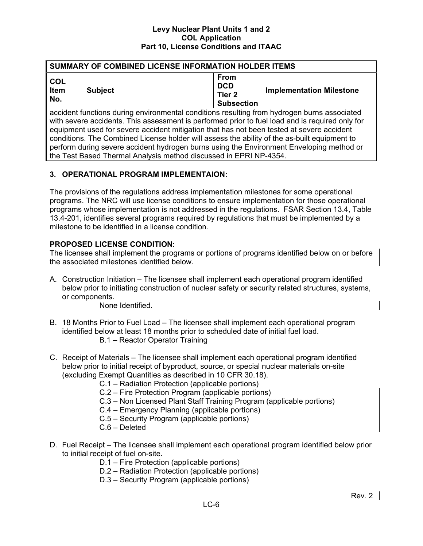| SUMMARY OF COMBINED LICENSE INFORMATION HOLDER ITEMS                                                                                                                                                                                                                                                                                                                                                                                                                                    |  |  |  |  |  |
|-----------------------------------------------------------------------------------------------------------------------------------------------------------------------------------------------------------------------------------------------------------------------------------------------------------------------------------------------------------------------------------------------------------------------------------------------------------------------------------------|--|--|--|--|--|
| <b>From</b><br><b>COL</b><br><b>DCD</b><br><b>Implementation Milestone</b><br><b>Item</b><br><b>Subject</b><br>Tier <sub>2</sub><br>No.<br><b>Subsection</b>                                                                                                                                                                                                                                                                                                                            |  |  |  |  |  |
| accident functions during environmental conditions resulting from hydrogen burns associated<br>with severe accidents. This assessment is performed prior to fuel load and is required only for<br>equipment used for severe accident mitigation that has not been tested at severe accident<br>conditions. The Combined License holder will assess the ability of the as-built equipment to<br>perform during severe accident hydrogen burns using the Environment Enveloping method or |  |  |  |  |  |

# **3. OPERATIONAL PROGRAM IMPLEMENTAION:**

the Test Based Thermal Analysis method discussed in EPRI NP-4354.

The provisions of the regulations address implementation milestones for some operational programs. The NRC will use license conditions to ensure implementation for those operational programs whose implementation is not addressed in the regulations. FSAR Section 13.4, Table 13.4-201, identifies several programs required by regulations that must be implemented by a milestone to be identified in a license condition.

# **PROPOSED LICENSE CONDITION:**

The licensee shall implement the programs or portions of programs identified below on or before the associated milestones identified below.

A. Construction Initiation – The licensee shall implement each operational program identified below prior to initiating construction of nuclear safety or security related structures, systems, or components.

None Identified.

- B. 18 Months Prior to Fuel Load The licensee shall implement each operational program identified below at least 18 months prior to scheduled date of initial fuel load. B.1 – Reactor Operator Training
- C. Receipt of Materials The licensee shall implement each operational program identified below prior to initial receipt of byproduct, source, or special nuclear materials on-site (excluding Exempt Quantities as described in 10 CFR 30.18).
	- C.1 Radiation Protection (applicable portions)
	- C.2 Fire Protection Program (applicable portions)
	- C.3 Non Licensed Plant Staff Training Program (applicable portions)
	- C.4 Emergency Planning (applicable portions)
	- C.5 Security Program (applicable portions)
	- C.6 Deleted
- D. Fuel Receipt The licensee shall implement each operational program identified below prior to initial receipt of fuel on-site.
	- D.1 Fire Protection (applicable portions)
	- D.2 Radiation Protection (applicable portions)
	- D.3 Security Program (applicable portions)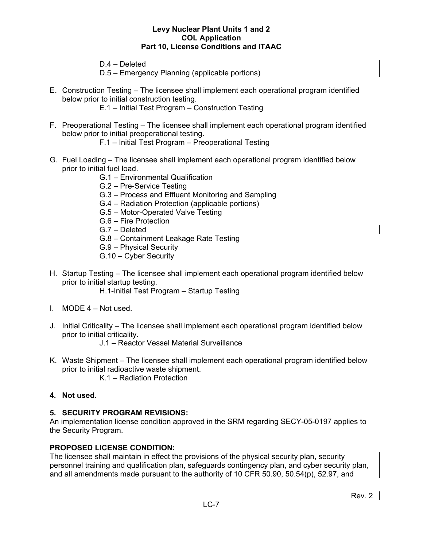D.4 – Deleted

D.5 – Emergency Planning (applicable portions)

E. Construction Testing – The licensee shall implement each operational program identified below prior to initial construction testing.

E.1 – Initial Test Program – Construction Testing

- F. Preoperational Testing The licensee shall implement each operational program identified below prior to initial preoperational testing.
	- F.1 Initial Test Program Preoperational Testing
- G. Fuel Loading The licensee shall implement each operational program identified below prior to initial fuel load.
	- G.1 Environmental Qualification
	- G.2 Pre-Service Testing
	- G.3 Process and Effluent Monitoring and Sampling
	- G.4 Radiation Protection (applicable portions)
	- G.5 Motor-Operated Valve Testing
	- G.6 Fire Protection
	- G.7 Deleted
	- G.8 Containment Leakage Rate Testing
	- G.9 Physical Security
	- G.10 Cyber Security
- H. Startup Testing The licensee shall implement each operational program identified below prior to initial startup testing.

H.1-Initial Test Program – Startup Testing

- I. MODE 4 Not used.
- J. Initial Criticality The licensee shall implement each operational program identified below prior to initial criticality.

J.1 – Reactor Vessel Material Surveillance

K. Waste Shipment – The licensee shall implement each operational program identified below prior to initial radioactive waste shipment.

K.1 – Radiation Protection

# **4. Not used.**

# **5. SECURITY PROGRAM REVISIONS:**

An implementation license condition approved in the SRM regarding SECY-05-0197 applies to the Security Program.

# **PROPOSED LICENSE CONDITION:**

The licensee shall maintain in effect the provisions of the physical security plan, security personnel training and qualification plan, safeguards contingency plan, and cyber security plan, and all amendments made pursuant to the authority of 10 CFR 50.90, 50.54(p), 52.97, and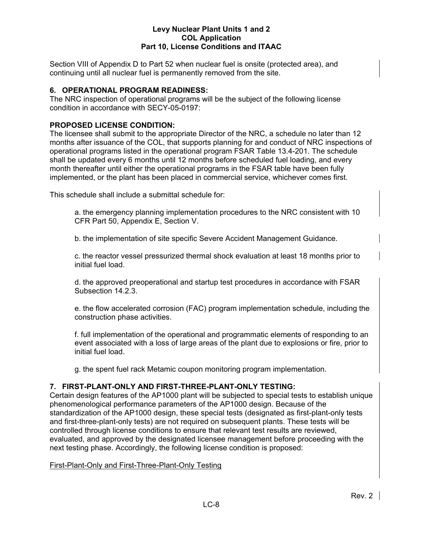Section VIII of Appendix D to Part 52 when nuclear fuel is onsite (protected area), and continuing until all nuclear fuel is permanently removed from the site.

# **6. OPERATIONAL PROGRAM READINESS:**

The NRC inspection of operational programs will be the subject of the following license condition in accordance with SECY-05-0197:

# **PROPOSED LICENSE CONDITION:**

The licensee shall submit to the appropriate Director of the NRC, a schedule no later than 12 months after issuance of the COL, that supports planning for and conduct of NRC inspections of operational programs listed in the operational program FSAR Table 13.4-201. The schedule shall be updated every 6 months until 12 months before scheduled fuel loading, and every month thereafter until either the operational programs in the FSAR table have been fully implemented, or the plant has been placed in commercial service, whichever comes first.

This schedule shall include a submittal schedule for:

a. the emergency planning implementation procedures to the NRC consistent with 10 CFR Part 50, Appendix E, Section V.

b. the implementation of site specific Severe Accident Management Guidance.

c. the reactor vessel pressurized thermal shock evaluation at least 18 months prior to initial fuel load.

d. the approved preoperational and startup test procedures in accordance with FSAR Subsection 14.2.3.

e. the flow accelerated corrosion (FAC) program implementation schedule, including the construction phase activities.

f. full implementation of the operational and programmatic elements of responding to an event associated with a loss of large areas of the plant due to explosions or fire, prior to initial fuel load.

g. the spent fuel rack Metamic coupon monitoring program implementation.

# **7. FIRST-PLANT-ONLY AND FIRST-THREE-PLANT-ONLY TESTING:**

Certain design features of the AP1000 plant will be subjected to special tests to establish unique phenomenological performance parameters of the AP1000 design. Because of the standardization of the AP1000 design, these special tests (designated as first-plant-only tests and first-three-plant-only tests) are not required on subsequent plants. These tests will be controlled through license conditions to ensure that relevant test results are reviewed, evaluated, and approved by the designated licensee management before proceeding with the next testing phase. Accordingly, the following license condition is proposed:

# First-Plant-Only and First-Three-Plant-Only Testing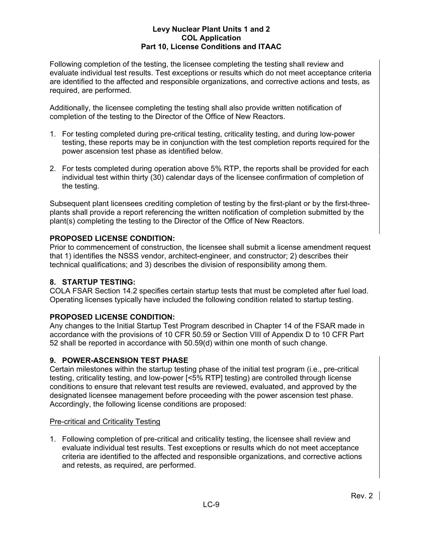Following completion of the testing, the licensee completing the testing shall review and evaluate individual test results. Test exceptions or results which do not meet acceptance criteria are identified to the affected and responsible organizations, and corrective actions and tests, as required, are performed.

Additionally, the licensee completing the testing shall also provide written notification of completion of the testing to the Director of the Office of New Reactors.

- 1. For testing completed during pre-critical testing, criticality testing, and during low-power testing, these reports may be in conjunction with the test completion reports required for the power ascension test phase as identified below.
- 2. For tests completed during operation above 5% RTP, the reports shall be provided for each individual test within thirty (30) calendar days of the licensee confirmation of completion of the testing.

Subsequent plant licensees crediting completion of testing by the first-plant or by the first-threeplants shall provide a report referencing the written notification of completion submitted by the plant(s) completing the testing to the Director of the Office of New Reactors.

# **PROPOSED LICENSE CONDITION:**

Prior to commencement of construction, the licensee shall submit a license amendment request that 1) identifies the NSSS vendor, architect-engineer, and constructor; 2) describes their technical qualifications; and 3) describes the division of responsibility among them.

# **8. STARTUP TESTING:**

COLA FSAR Section 14.2 specifies certain startup tests that must be completed after fuel load. Operating licenses typically have included the following condition related to startup testing.

# **PROPOSED LICENSE CONDITION:**

Any changes to the Initial Startup Test Program described in Chapter 14 of the FSAR made in accordance with the provisions of 10 CFR 50.59 or Section VIII of Appendix D to 10 CFR Part 52 shall be reported in accordance with 50.59(d) within one month of such change.

# **9. POWER-ASCENSION TEST PHASE**

Certain milestones within the startup testing phase of the initial test program (i.e., pre-critical testing, criticality testing, and low-power [<5% RTP] testing) are controlled through license conditions to ensure that relevant test results are reviewed, evaluated, and approved by the designated licensee management before proceeding with the power ascension test phase. Accordingly, the following license conditions are proposed:

# Pre-critical and Criticality Testing

1. Following completion of pre-critical and criticality testing, the licensee shall review and evaluate individual test results. Test exceptions or results which do not meet acceptance criteria are identified to the affected and responsible organizations, and corrective actions and retests, as required, are performed.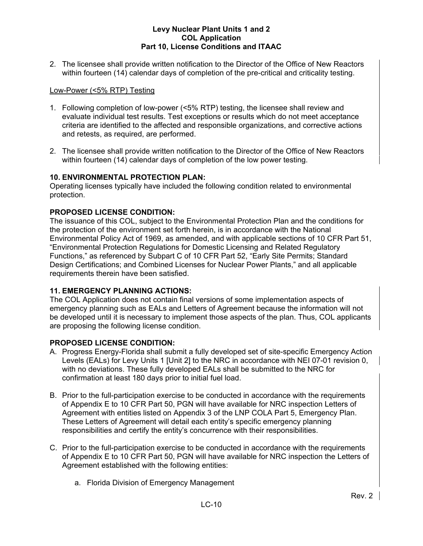2. The licensee shall provide written notification to the Director of the Office of New Reactors within fourteen (14) calendar days of completion of the pre-critical and criticality testing.

# Low-Power (<5% RTP) Testing

- 1. Following completion of low-power (<5% RTP) testing, the licensee shall review and evaluate individual test results. Test exceptions or results which do not meet acceptance criteria are identified to the affected and responsible organizations, and corrective actions and retests, as required, are performed.
- 2. The licensee shall provide written notification to the Director of the Office of New Reactors within fourteen (14) calendar days of completion of the low power testing.

# **10. ENVIRONMENTAL PROTECTION PLAN:**

Operating licenses typically have included the following condition related to environmental protection.

# **PROPOSED LICENSE CONDITION:**

The issuance of this COL, subject to the Environmental Protection Plan and the conditions for the protection of the environment set forth herein, is in accordance with the National Environmental Policy Act of 1969, as amended, and with applicable sections of 10 CFR Part 51, "Environmental Protection Regulations for Domestic Licensing and Related Regulatory Functions," as referenced by Subpart C of 10 CFR Part 52, "Early Site Permits; Standard Design Certifications; and Combined Licenses for Nuclear Power Plants," and all applicable requirements therein have been satisfied.

# **11. EMERGENCY PLANNING ACTIONS:**

The COL Application does not contain final versions of some implementation aspects of emergency planning such as EALs and Letters of Agreement because the information will not be developed until it is necessary to implement those aspects of the plan. Thus, COL applicants are proposing the following license condition.

# **PROPOSED LICENSE CONDITION:**

- A. Progress Energy-Florida shall submit a fully developed set of site-specific Emergency Action Levels (EALs) for Levy Units 1 [Unit 2] to the NRC in accordance with NEI 07-01 revision 0, with no deviations. These fully developed EALs shall be submitted to the NRC for confirmation at least 180 days prior to initial fuel load.
- B. Prior to the full-participation exercise to be conducted in accordance with the requirements of Appendix E to 10 CFR Part 50, PGN will have available for NRC inspection Letters of Agreement with entities listed on Appendix 3 of the LNP COLA Part 5, Emergency Plan. These Letters of Agreement will detail each entity's specific emergency planning responsibilities and certify the entity's concurrence with their responsibilities.
- C. Prior to the full-participation exercise to be conducted in accordance with the requirements of Appendix E to 10 CFR Part 50, PGN will have available for NRC inspection the Letters of Agreement established with the following entities:
	- a. Florida Division of Emergency Management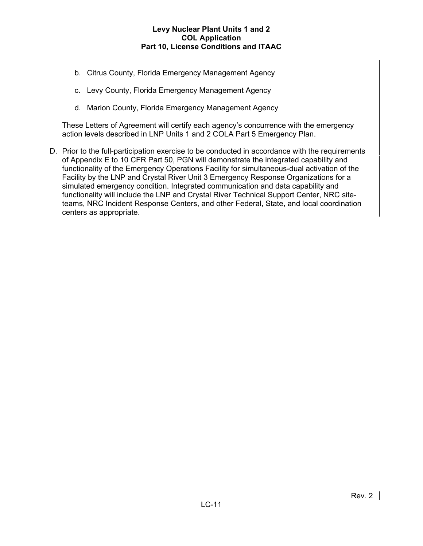- b. Citrus County, Florida Emergency Management Agency
- c. Levy County, Florida Emergency Management Agency
- d. Marion County, Florida Emergency Management Agency

These Letters of Agreement will certify each agency's concurrence with the emergency action levels described in LNP Units 1 and 2 COLA Part 5 Emergency Plan.

D. Prior to the full-participation exercise to be conducted in accordance with the requirements of Appendix E to 10 CFR Part 50, PGN will demonstrate the integrated capability and functionality of the Emergency Operations Facility for simultaneous-dual activation of the Facility by the LNP and Crystal River Unit 3 Emergency Response Organizations for a simulated emergency condition. Integrated communication and data capability and functionality will include the LNP and Crystal River Technical Support Center, NRC siteteams, NRC Incident Response Centers, and other Federal, State, and local coordination centers as appropriate.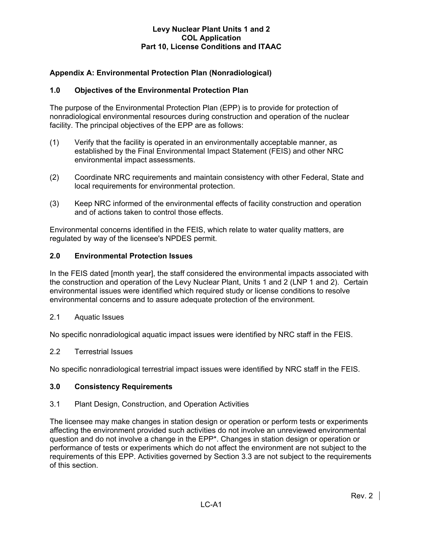# **Appendix A: Environmental Protection Plan (Nonradiological)**

# **1.0 Objectives of the Environmental Protection Plan**

The purpose of the Environmental Protection Plan (EPP) is to provide for protection of nonradiological environmental resources during construction and operation of the nuclear facility. The principal objectives of the EPP are as follows:

- (1) Verify that the facility is operated in an environmentally acceptable manner, as established by the Final Environmental Impact Statement (FEIS) and other NRC environmental impact assessments.
- (2) Coordinate NRC requirements and maintain consistency with other Federal, State and local requirements for environmental protection.
- (3) Keep NRC informed of the environmental effects of facility construction and operation and of actions taken to control those effects.

Environmental concerns identified in the FEIS, which relate to water quality matters, are regulated by way of the licensee's NPDES permit.

#### **2.0 Environmental Protection Issues**

In the FEIS dated [month year], the staff considered the environmental impacts associated with the construction and operation of the Levy Nuclear Plant, Units 1 and 2 (LNP 1 and 2). Certain environmental issues were identified which required study or license conditions to resolve environmental concerns and to assure adequate protection of the environment.

2.1 Aquatic Issues

No specific nonradiological aquatic impact issues were identified by NRC staff in the FEIS.

#### 2.2 Terrestrial Issues

No specific nonradiological terrestrial impact issues were identified by NRC staff in the FEIS.

#### **3.0 Consistency Requirements**

#### 3.1 Plant Design, Construction, and Operation Activities

The licensee may make changes in station design or operation or perform tests or experiments affecting the environment provided such activities do not involve an unreviewed environmental question and do not involve a change in the EPP\*. Changes in station design or operation or performance of tests or experiments which do not affect the environment are not subject to the requirements of this EPP. Activities governed by Section 3.3 are not subject to the requirements of this section.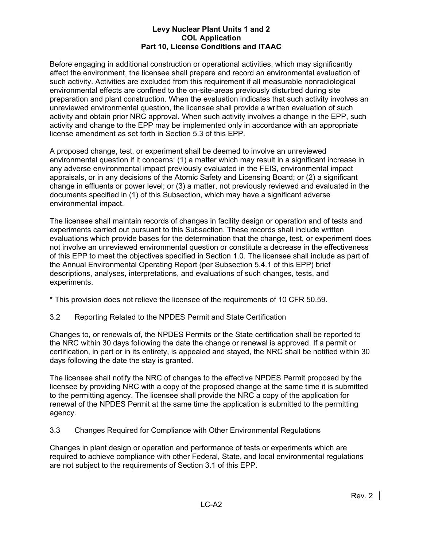Before engaging in additional construction or operational activities, which may significantly affect the environment, the licensee shall prepare and record an environmental evaluation of such activity. Activities are excluded from this requirement if all measurable nonradiological environmental effects are confined to the on-site-areas previously disturbed during site preparation and plant construction. When the evaluation indicates that such activity involves an unreviewed environmental question, the licensee shall provide a written evaluation of such activity and obtain prior NRC approval. When such activity involves a change in the EPP, such activity and change to the EPP may be implemented only in accordance with an appropriate license amendment as set forth in Section 5.3 of this EPP.

A proposed change, test, or experiment shall be deemed to involve an unreviewed environmental question if it concerns: (1) a matter which may result in a significant increase in any adverse environmental impact previously evaluated in the FEIS, environmental impact appraisals, or in any decisions of the Atomic Safety and Licensing Board; or (2) a significant change in effluents or power level; or (3) a matter, not previously reviewed and evaluated in the documents specified in (1) of this Subsection, which may have a significant adverse environmental impact.

The licensee shall maintain records of changes in facility design or operation and of tests and experiments carried out pursuant to this Subsection. These records shall include written evaluations which provide bases for the determination that the change, test, or experiment does not involve an unreviewed environmental question or constitute a decrease in the effectiveness of this EPP to meet the objectives specified in Section 1.0. The licensee shall include as part of the Annual Environmental Operating Report (per Subsection 5.4.1 of this EPP) brief descriptions, analyses, interpretations, and evaluations of such changes, tests, and experiments.

\* This provision does not relieve the licensee of the requirements of 10 CFR 50.59.

3.2 Reporting Related to the NPDES Permit and State Certification

Changes to, or renewals of, the NPDES Permits or the State certification shall be reported to the NRC within 30 days following the date the change or renewal is approved. If a permit or certification, in part or in its entirety, is appealed and stayed, the NRC shall be notified within 30 days following the date the stay is granted.

The licensee shall notify the NRC of changes to the effective NPDES Permit proposed by the licensee by providing NRC with a copy of the proposed change at the same time it is submitted to the permitting agency. The licensee shall provide the NRC a copy of the application for renewal of the NPDES Permit at the same time the application is submitted to the permitting agency.

3.3 Changes Required for Compliance with Other Environmental Regulations

Changes in plant design or operation and performance of tests or experiments which are required to achieve compliance with other Federal, State, and local environmental regulations are not subject to the requirements of Section 3.1 of this EPP.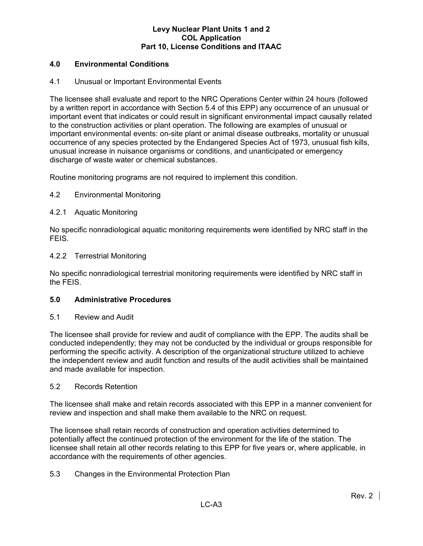# **4.0 Environmental Conditions**

# 4.1 Unusual or Important Environmental Events

The licensee shall evaluate and report to the NRC Operations Center within 24 hours (followed by a written report in accordance with Section 5.4 of this EPP) any occurrence of an unusual or important event that indicates or could result in significant environmental impact causally related to the construction activities or plant operation. The following are examples of unusual or important environmental events: on-site plant or animal disease outbreaks, mortality or unusual occurrence of any species protected by the Endangered Species Act of 1973, unusual fish kills, unusual increase in nuisance organisms or conditions, and unanticipated or emergency discharge of waste water or chemical substances.

Routine monitoring programs are not required to implement this condition.

# 4.2 Environmental Monitoring

# 4.2.1 Aquatic Monitoring

No specific nonradiological aquatic monitoring requirements were identified by NRC staff in the FEIS.

#### 4.2.2 Terrestrial Monitoring

No specific nonradiological terrestrial monitoring requirements were identified by NRC staff in the FEIS.

#### **5.0 Administrative Procedures**

#### 5.1 Review and Audit

The licensee shall provide for review and audit of compliance with the EPP. The audits shall be conducted independently; they may not be conducted by the individual or groups responsible for performing the specific activity. A description of the organizational structure utilized to achieve the independent review and audit function and results of the audit activities shall be maintained and made available for inspection.

#### 5.2 Records Retention

The licensee shall make and retain records associated with this EPP in a manner convenient for review and inspection and shall make them available to the NRC on request.

The licensee shall retain records of construction and operation activities determined to potentially affect the continued protection of the environment for the life of the station. The licensee shall retain all other records relating to this EPP for five years or, where applicable, in accordance with the requirements of other agencies.

# 5.3 Changes in the Environmental Protection Plan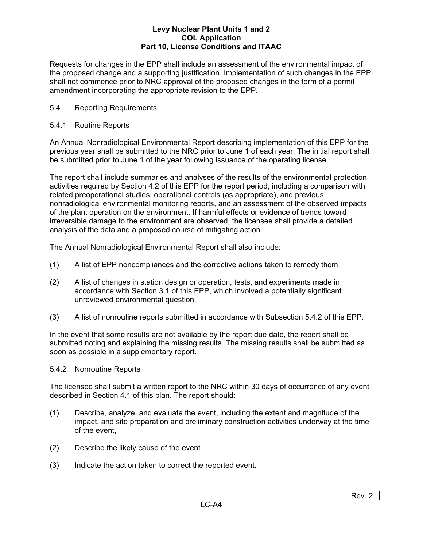Requests for changes in the EPP shall include an assessment of the environmental impact of the proposed change and a supporting justification. Implementation of such changes in the EPP shall not commence prior to NRC approval of the proposed changes in the form of a permit amendment incorporating the appropriate revision to the EPP.

# 5.4 Reporting Requirements

# 5.4.1 Routine Reports

An Annual Nonradiological Environmental Report describing implementation of this EPP for the previous year shall be submitted to the NRC prior to June 1 of each year. The initial report shall be submitted prior to June 1 of the year following issuance of the operating license.

The report shall include summaries and analyses of the results of the environmental protection activities required by Section 4.2 of this EPP for the report period, including a comparison with related preoperational studies, operational controls (as appropriate), and previous nonradiological environmental monitoring reports, and an assessment of the observed impacts of the plant operation on the environment. If harmful effects or evidence of trends toward irreversible damage to the environment are observed, the licensee shall provide a detailed analysis of the data and a proposed course of mitigating action.

The Annual Nonradiological Environmental Report shall also include:

- (1) A list of EPP noncompliances and the corrective actions taken to remedy them.
- (2) A list of changes in station design or operation, tests, and experiments made in accordance with Section 3.1 of this EPP, which involved a potentially significant unreviewed environmental question.
- (3) A list of nonroutine reports submitted in accordance with Subsection 5.4.2 of this EPP.

In the event that some results are not available by the report due date, the report shall be submitted noting and explaining the missing results. The missing results shall be submitted as soon as possible in a supplementary report.

# 5.4.2 Nonroutine Reports

The licensee shall submit a written report to the NRC within 30 days of occurrence of any event described in Section 4.1 of this plan. The report should:

- (1) Describe, analyze, and evaluate the event, including the extent and magnitude of the impact, and site preparation and preliminary construction activities underway at the time of the event,
- (2) Describe the likely cause of the event.
- (3) Indicate the action taken to correct the reported event.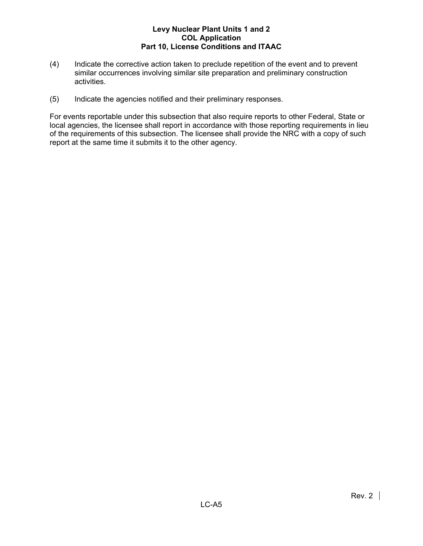- (4) Indicate the corrective action taken to preclude repetition of the event and to prevent similar occurrences involving similar site preparation and preliminary construction activities.
- (5) Indicate the agencies notified and their preliminary responses.

For events reportable under this subsection that also require reports to other Federal, State or local agencies, the licensee shall report in accordance with those reporting requirements in lieu of the requirements of this subsection. The licensee shall provide the NRC with a copy of such report at the same time it submits it to the other agency.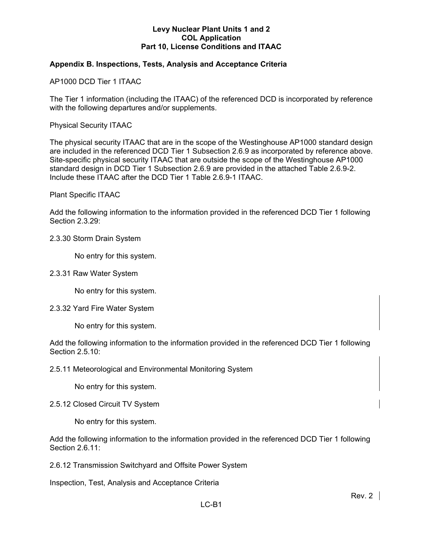# **Appendix B. Inspections, Tests, Analysis and Acceptance Criteria**

AP1000 DCD Tier 1 ITAAC

The Tier 1 information (including the ITAAC) of the referenced DCD is incorporated by reference with the following departures and/or supplements.

Physical Security ITAAC

The physical security ITAAC that are in the scope of the Westinghouse AP1000 standard design are included in the referenced DCD Tier 1 Subsection 2.6.9 as incorporated by reference above. Site-specific physical security ITAAC that are outside the scope of the Westinghouse AP1000 standard design in DCD Tier 1 Subsection 2.6.9 are provided in the attached Table 2.6.9-2. Include these ITAAC after the DCD Tier 1 Table 2.6.9-1 ITAAC.

Plant Specific ITAAC

Add the following information to the information provided in the referenced DCD Tier 1 following Section 2.3.29:

#### 2.3.30 Storm Drain System

No entry for this system.

#### 2.3.31 Raw Water System

No entry for this system.

#### 2.3.32 Yard Fire Water System

No entry for this system.

Add the following information to the information provided in the referenced DCD Tier 1 following Section 2.5.10:

2.5.11 Meteorological and Environmental Monitoring System

No entry for this system.

#### 2.5.12 Closed Circuit TV System

No entry for this system.

Add the following information to the information provided in the referenced DCD Tier 1 following Section 2.6.11:

2.6.12 Transmission Switchyard and Offsite Power System

Inspection, Test, Analysis and Acceptance Criteria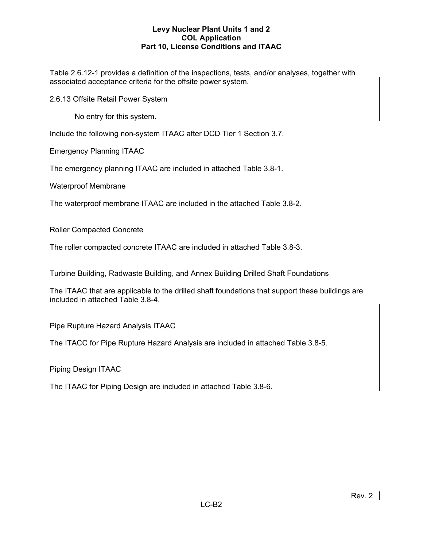Table 2.6.12-1 provides a definition of the inspections, tests, and/or analyses, together with associated acceptance criteria for the offsite power system.

2.6.13 Offsite Retail Power System

No entry for this system.

Include the following non-system ITAAC after DCD Tier 1 Section 3.7.

Emergency Planning ITAAC

The emergency planning ITAAC are included in attached Table 3.8-1.

Waterproof Membrane

The waterproof membrane ITAAC are included in the attached Table 3.8-2.

Roller Compacted Concrete

The roller compacted concrete ITAAC are included in attached Table 3.8-3.

Turbine Building, Radwaste Building, and Annex Building Drilled Shaft Foundations

The ITAAC that are applicable to the drilled shaft foundations that support these buildings are included in attached Table 3.8-4.

Pipe Rupture Hazard Analysis ITAAC

The ITACC for Pipe Rupture Hazard Analysis are included in attached Table 3.8-5.

Piping Design ITAAC

The ITAAC for Piping Design are included in attached Table 3.8-6.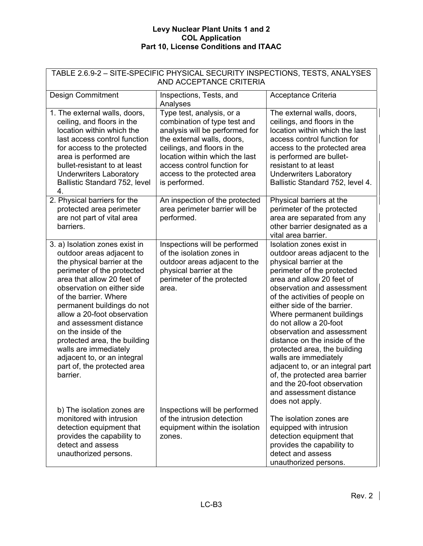| TABLE 2.6.9-2 - SITE-SPECIFIC PHYSICAL SECURITY INSPECTIONS, TESTS, ANALYSES<br>AND ACCEPTANCE CRITERIA                                                                                                                                                                                                                                                                                                                                                          |                                                                                                                                                                                                                                                                            |                                                                                                                                                                                                                                                                                                                                                                                                                                                                                                                                                                                  |  |  |
|------------------------------------------------------------------------------------------------------------------------------------------------------------------------------------------------------------------------------------------------------------------------------------------------------------------------------------------------------------------------------------------------------------------------------------------------------------------|----------------------------------------------------------------------------------------------------------------------------------------------------------------------------------------------------------------------------------------------------------------------------|----------------------------------------------------------------------------------------------------------------------------------------------------------------------------------------------------------------------------------------------------------------------------------------------------------------------------------------------------------------------------------------------------------------------------------------------------------------------------------------------------------------------------------------------------------------------------------|--|--|
| <b>Design Commitment</b>                                                                                                                                                                                                                                                                                                                                                                                                                                         | Inspections, Tests, and<br>Analyses                                                                                                                                                                                                                                        | Acceptance Criteria                                                                                                                                                                                                                                                                                                                                                                                                                                                                                                                                                              |  |  |
| 1. The external walls, doors,<br>ceiling, and floors in the<br>location within which the<br>last access control function<br>for access to the protected<br>area is performed are<br>bullet-resistant to at least<br><b>Underwriters Laboratory</b><br>Ballistic Standard 752, level<br>4.                                                                                                                                                                        | Type test, analysis, or a<br>combination of type test and<br>analysis will be performed for<br>the external walls, doors,<br>ceilings, and floors in the<br>location within which the last<br>access control function for<br>access to the protected area<br>is performed. | The external walls, doors,<br>ceilings, and floors in the<br>location within which the last<br>access control function for<br>access to the protected area<br>is performed are bullet-<br>resistant to at least<br><b>Underwriters Laboratory</b><br>Ballistic Standard 752, level 4.                                                                                                                                                                                                                                                                                            |  |  |
| 2. Physical barriers for the<br>protected area perimeter<br>are not part of vital area<br>barriers.                                                                                                                                                                                                                                                                                                                                                              | An inspection of the protected<br>area perimeter barrier will be<br>performed.                                                                                                                                                                                             | Physical barriers at the<br>perimeter of the protected<br>area are separated from any<br>other barrier designated as a<br>vital area barrier.                                                                                                                                                                                                                                                                                                                                                                                                                                    |  |  |
| 3. a) Isolation zones exist in<br>outdoor areas adjacent to<br>the physical barrier at the<br>perimeter of the protected<br>area that allow 20 feet of<br>observation on either side<br>of the barrier. Where<br>permanent buildings do not<br>allow a 20-foot observation<br>and assessment distance<br>on the inside of the<br>protected area, the building<br>walls are immediately<br>adjacent to, or an integral<br>part of, the protected area<br>barrier. | Inspections will be performed<br>of the isolation zones in<br>outdoor areas adjacent to the<br>physical barrier at the<br>perimeter of the protected<br>area.                                                                                                              | Isolation zones exist in<br>outdoor areas adjacent to the<br>physical barrier at the<br>perimeter of the protected<br>area and allow 20 feet of<br>observation and assessment<br>of the activities of people on<br>either side of the barrier.<br>Where permanent buildings<br>do not allow a 20-foot<br>observation and assessment<br>distance on the inside of the<br>protected area, the building<br>walls are immediately<br>adjacent to, or an integral part<br>of, the protected area barrier<br>and the 20-foot observation<br>and assessment distance<br>does not apply. |  |  |
| b) The isolation zones are<br>monitored with intrusion<br>detection equipment that<br>provides the capability to<br>detect and assess<br>unauthorized persons.                                                                                                                                                                                                                                                                                                   | Inspections will be performed<br>of the intrusion detection<br>equipment within the isolation<br>zones.                                                                                                                                                                    | The isolation zones are<br>equipped with intrusion<br>detection equipment that<br>provides the capability to<br>detect and assess<br>unauthorized persons.                                                                                                                                                                                                                                                                                                                                                                                                                       |  |  |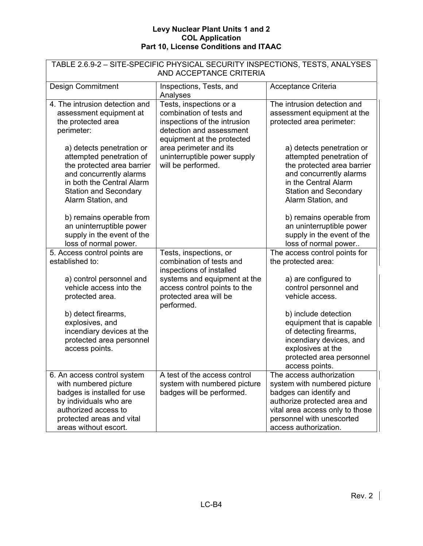| TABLE 2.6.9-2 - SITE-SPECIFIC PHYSICAL SECURITY INSPECTIONS, TESTS, ANALYSES<br>AND ACCEPTANCE CRITERIA                                                                                     |                                                                                                                                                                         |                                                                                                                                                                                                              |  |  |
|---------------------------------------------------------------------------------------------------------------------------------------------------------------------------------------------|-------------------------------------------------------------------------------------------------------------------------------------------------------------------------|--------------------------------------------------------------------------------------------------------------------------------------------------------------------------------------------------------------|--|--|
| <b>Design Commitment</b>                                                                                                                                                                    | Inspections, Tests, and<br>Analyses                                                                                                                                     | Acceptance Criteria                                                                                                                                                                                          |  |  |
| 4. The intrusion detection and<br>assessment equipment at<br>the protected area<br>perimeter:<br>a) detects penetration or                                                                  | Tests, inspections or a<br>combination of tests and<br>inspections of the intrusion<br>detection and assessment<br>equipment at the protected<br>area perimeter and its | The intrusion detection and<br>assessment equipment at the<br>protected area perimeter:<br>a) detects penetration or                                                                                         |  |  |
| attempted penetration of<br>the protected area barrier<br>and concurrently alarms<br>in both the Central Alarm<br><b>Station and Secondary</b><br>Alarm Station, and                        | uninterruptible power supply<br>will be performed.                                                                                                                      | attempted penetration of<br>the protected area barrier<br>and concurrently alarms<br>in the Central Alarm<br><b>Station and Secondary</b><br>Alarm Station, and                                              |  |  |
| b) remains operable from<br>an uninterruptible power<br>supply in the event of the<br>loss of normal power.                                                                                 |                                                                                                                                                                         | b) remains operable from<br>an uninterruptible power<br>supply in the event of the<br>loss of normal power                                                                                                   |  |  |
| 5. Access control points are<br>established to:                                                                                                                                             | Tests, inspections, or<br>combination of tests and<br>inspections of installed                                                                                          | The access control points for<br>the protected area:                                                                                                                                                         |  |  |
| a) control personnel and<br>vehicle access into the<br>protected area.                                                                                                                      | systems and equipment at the<br>access control points to the<br>protected area will be<br>performed.                                                                    | a) are configured to<br>control personnel and<br>vehicle access.                                                                                                                                             |  |  |
| b) detect firearms,<br>explosives, and<br>incendiary devices at the<br>protected area personnel<br>access points.                                                                           |                                                                                                                                                                         | b) include detection<br>equipment that is capable<br>of detecting firearms,<br>incendiary devices, and<br>explosives at the<br>protected area personnel<br>access points.                                    |  |  |
| 6. An access control system<br>with numbered picture<br>badges is installed for use<br>by individuals who are<br>authorized access to<br>protected areas and vital<br>areas without escort. | A test of the access control<br>system with numbered picture<br>badges will be performed.                                                                               | The access authorization<br>system with numbered picture<br>badges can identify and<br>authorize protected area and<br>vital area access only to those<br>personnel with unescorted<br>access authorization. |  |  |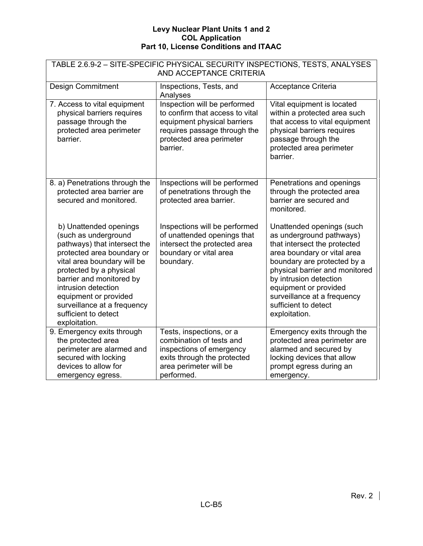| TABLE 2.6.9-2 - SITE-SPECIFIC PHYSICAL SECURITY INSPECTIONS, TESTS, ANALYSES<br>AND ACCEPTANCE CRITERIA                                                                                                                                                                                                                    |                                                                                                                                                                        |                                                                                                                                                                                                                                                                                                                  |  |  |
|----------------------------------------------------------------------------------------------------------------------------------------------------------------------------------------------------------------------------------------------------------------------------------------------------------------------------|------------------------------------------------------------------------------------------------------------------------------------------------------------------------|------------------------------------------------------------------------------------------------------------------------------------------------------------------------------------------------------------------------------------------------------------------------------------------------------------------|--|--|
| <b>Design Commitment</b><br>Inspections, Tests, and<br>Acceptance Criteria<br>Analyses                                                                                                                                                                                                                                     |                                                                                                                                                                        |                                                                                                                                                                                                                                                                                                                  |  |  |
| 7. Access to vital equipment<br>physical barriers requires<br>passage through the<br>protected area perimeter<br>barrier.                                                                                                                                                                                                  | Inspection will be performed<br>to confirm that access to vital<br>equipment physical barriers<br>requires passage through the<br>protected area perimeter<br>barrier. | Vital equipment is located<br>within a protected area such<br>that access to vital equipment<br>physical barriers requires<br>passage through the<br>protected area perimeter<br>barrier.                                                                                                                        |  |  |
| 8. a) Penetrations through the<br>protected area barrier are<br>secured and monitored.                                                                                                                                                                                                                                     | Inspections will be performed<br>of penetrations through the<br>protected area barrier.                                                                                | Penetrations and openings<br>through the protected area<br>barrier are secured and<br>monitored.                                                                                                                                                                                                                 |  |  |
| b) Unattended openings<br>(such as underground<br>pathways) that intersect the<br>protected area boundary or<br>vital area boundary will be<br>protected by a physical<br>barrier and monitored by<br>intrusion detection<br>equipment or provided<br>surveillance at a frequency<br>sufficient to detect<br>exploitation. | Inspections will be performed<br>of unattended openings that<br>intersect the protected area<br>boundary or vital area<br>boundary.                                    | Unattended openings (such<br>as underground pathways)<br>that intersect the protected<br>area boundary or vital area<br>boundary are protected by a<br>physical barrier and monitored<br>by intrusion detection<br>equipment or provided<br>surveillance at a frequency<br>sufficient to detect<br>exploitation. |  |  |
| 9. Emergency exits through<br>the protected area<br>perimeter are alarmed and<br>secured with locking<br>devices to allow for<br>emergency egress.                                                                                                                                                                         | Tests, inspections, or a<br>combination of tests and<br>inspections of emergency<br>exits through the protected<br>area perimeter will be<br>performed.                | Emergency exits through the<br>protected area perimeter are<br>alarmed and secured by<br>locking devices that allow<br>prompt egress during an<br>emergency.                                                                                                                                                     |  |  |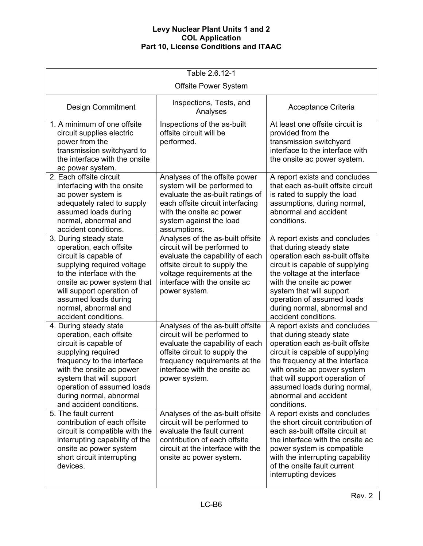| Table 2.6.12-1                                                                                                                                                                                                                                                              |                                                                                                                                                                                                                        |                                                                                                                                                                                                                                                                                                              |  |  |  |
|-----------------------------------------------------------------------------------------------------------------------------------------------------------------------------------------------------------------------------------------------------------------------------|------------------------------------------------------------------------------------------------------------------------------------------------------------------------------------------------------------------------|--------------------------------------------------------------------------------------------------------------------------------------------------------------------------------------------------------------------------------------------------------------------------------------------------------------|--|--|--|
|                                                                                                                                                                                                                                                                             | <b>Offsite Power System</b>                                                                                                                                                                                            |                                                                                                                                                                                                                                                                                                              |  |  |  |
| <b>Design Commitment</b>                                                                                                                                                                                                                                                    | Inspections, Tests, and<br>Analyses                                                                                                                                                                                    | Acceptance Criteria                                                                                                                                                                                                                                                                                          |  |  |  |
| 1. A minimum of one offsite<br>circuit supplies electric<br>power from the<br>transmission switchyard to<br>the interface with the onsite<br>ac power system.                                                                                                               | Inspections of the as-built<br>offsite circuit will be<br>performed.                                                                                                                                                   | At least one offsite circuit is<br>provided from the<br>transmission switchyard<br>interface to the interface with<br>the onsite ac power system.                                                                                                                                                            |  |  |  |
| 2. Each offsite circuit<br>interfacing with the onsite<br>ac power system is<br>adequately rated to supply<br>assumed loads during<br>normal, abnormal and<br>accident conditions.                                                                                          | Analyses of the offsite power<br>system will be performed to<br>evaluate the as-built ratings of<br>each offsite circuit interfacing<br>with the onsite ac power<br>system against the load<br>assumptions.            | A report exists and concludes<br>that each as-built offsite circuit<br>is rated to supply the load<br>assumptions, during normal,<br>abnormal and accident<br>conditions.                                                                                                                                    |  |  |  |
| 3. During steady state<br>operation, each offsite<br>circuit is capable of<br>supplying required voltage<br>to the interface with the<br>onsite ac power system that<br>will support operation of<br>assumed loads during<br>normal, abnormal and<br>accident conditions.   | Analyses of the as-built offsite<br>circuit will be performed to<br>evaluate the capability of each<br>offsite circuit to supply the<br>voltage requirements at the<br>interface with the onsite ac<br>power system.   | A report exists and concludes<br>that during steady state<br>operation each as-built offsite<br>circuit is capable of supplying<br>the voltage at the interface<br>with the onsite ac power<br>system that will support<br>operation of assumed loads<br>during normal, abnormal and<br>accident conditions. |  |  |  |
| 4. During steady state<br>operation, each offsite<br>circuit is capable of<br>supplying required<br>frequency to the interface<br>with the onsite ac power<br>system that will support<br>operation of assumed loads<br>during normal, abnormal<br>and accident conditions. | Analyses of the as-built offsite<br>circuit will be performed to<br>evaluate the capability of each<br>offsite circuit to supply the<br>frequency requirements at the<br>interface with the onsite ac<br>power system. | A report exists and concludes<br>that during steady state<br>operation each as-built offsite<br>circuit is capable of supplying<br>the frequency at the interface<br>with onsite ac power system<br>that will support operation of<br>assumed loads during normal,<br>abnormal and accident<br>conditions.   |  |  |  |
| 5. The fault current<br>contribution of each offsite<br>circuit is compatible with the<br>interrupting capability of the<br>onsite ac power system<br>short circuit interrupting<br>devices.                                                                                | Analyses of the as-built offsite<br>circuit will be performed to<br>evaluate the fault current<br>contribution of each offsite<br>circuit at the interface with the<br>onsite ac power system.                         | A report exists and concludes<br>the short circuit contribution of<br>each as-built offsite circuit at<br>the interface with the onsite ac<br>power system is compatible<br>with the interrupting capability<br>of the onsite fault current<br>interrupting devices                                          |  |  |  |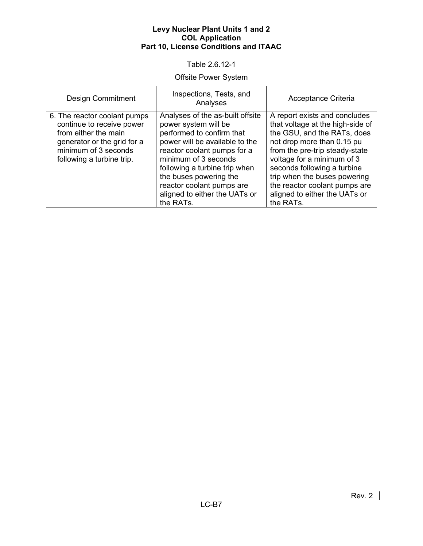| Table 2.6.12-1                                                                                                                                                        |                                                                                                                                                                                                                                                                                                                      |                                                                                                                                                                                                                                                                                                                                              |  |  |  |
|-----------------------------------------------------------------------------------------------------------------------------------------------------------------------|----------------------------------------------------------------------------------------------------------------------------------------------------------------------------------------------------------------------------------------------------------------------------------------------------------------------|----------------------------------------------------------------------------------------------------------------------------------------------------------------------------------------------------------------------------------------------------------------------------------------------------------------------------------------------|--|--|--|
|                                                                                                                                                                       | <b>Offsite Power System</b>                                                                                                                                                                                                                                                                                          |                                                                                                                                                                                                                                                                                                                                              |  |  |  |
| <b>Design Commitment</b>                                                                                                                                              | Acceptance Criteria                                                                                                                                                                                                                                                                                                  |                                                                                                                                                                                                                                                                                                                                              |  |  |  |
| 6. The reactor coolant pumps<br>continue to receive power<br>from either the main<br>generator or the grid for a<br>minimum of 3 seconds<br>following a turbine trip. | Analyses of the as-built offsite<br>power system will be<br>performed to confirm that<br>power will be available to the<br>reactor coolant pumps for a<br>minimum of 3 seconds<br>following a turbine trip when<br>the buses powering the<br>reactor coolant pumps are<br>aligned to either the UATs or<br>the RATs. | A report exists and concludes<br>that voltage at the high-side of<br>the GSU, and the RATs, does<br>not drop more than 0.15 pu<br>from the pre-trip steady-state<br>voltage for a minimum of 3<br>seconds following a turbine<br>trip when the buses powering<br>the reactor coolant pumps are<br>aligned to either the UATs or<br>the RATs. |  |  |  |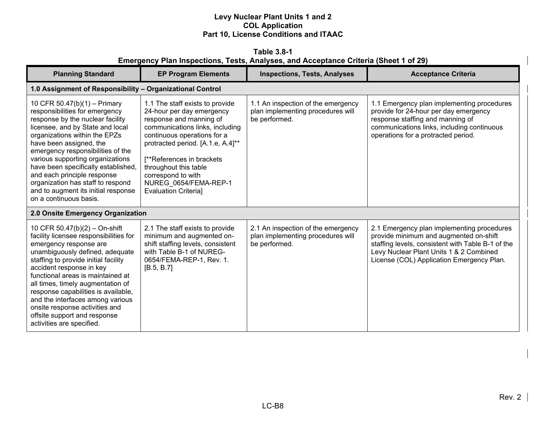**Table 3.8-1 Emergency Plan Inspections, Tests, Analyses, and Acceptance Criteria (Sheet 1 of 29)** 

| <b>Planning Standard</b>                                                                                                                                                                                                                                                                                                                                                                                                                                     | <b>EP Program Elements</b>                                                                                                                                                                                                                                                                                                          | <b>Inspections, Tests, Analyses</b>                                                      | <b>Acceptance Criteria</b>                                                                                                                                                                                                        |  |  |
|--------------------------------------------------------------------------------------------------------------------------------------------------------------------------------------------------------------------------------------------------------------------------------------------------------------------------------------------------------------------------------------------------------------------------------------------------------------|-------------------------------------------------------------------------------------------------------------------------------------------------------------------------------------------------------------------------------------------------------------------------------------------------------------------------------------|------------------------------------------------------------------------------------------|-----------------------------------------------------------------------------------------------------------------------------------------------------------------------------------------------------------------------------------|--|--|
| 1.0 Assignment of Responsibility - Organizational Control                                                                                                                                                                                                                                                                                                                                                                                                    |                                                                                                                                                                                                                                                                                                                                     |                                                                                          |                                                                                                                                                                                                                                   |  |  |
| 10 CFR 50.47(b)(1) - Primary<br>responsibilities for emergency<br>response by the nuclear facility<br>licensee, and by State and local<br>organizations within the EPZs<br>have been assigned, the<br>emergency responsibilities of the<br>various supporting organizations<br>have been specifically established,<br>and each principle response<br>organization has staff to respond<br>and to augment its initial response<br>on a continuous basis.      | 1.1 The staff exists to provide<br>24-hour per day emergency<br>response and manning of<br>communications links, including<br>continuous operations for a<br>protracted period. [A.1.e, A.4]**<br>[**References in brackets]<br>throughout this table<br>correspond to with<br>NUREG_0654/FEMA-REP-1<br><b>Evaluation Criterial</b> | 1.1 An inspection of the emergency<br>plan implementing procedures will<br>be performed. | 1.1 Emergency plan implementing procedures<br>provide for 24-hour per day emergency<br>response staffing and manning of<br>communications links, including continuous<br>operations for a protracted period.                      |  |  |
| 2.0 Onsite Emergency Organization                                                                                                                                                                                                                                                                                                                                                                                                                            |                                                                                                                                                                                                                                                                                                                                     |                                                                                          |                                                                                                                                                                                                                                   |  |  |
| 10 CFR 50.47(b)(2) - On-shift<br>facility licensee responsibilities for<br>emergency response are<br>unambiguously defined, adequate<br>staffing to provide initial facility<br>accident response in key<br>functional areas is maintained at<br>all times, timely augmentation of<br>response capabilities is available,<br>and the interfaces among various<br>onsite response activities and<br>offsite support and response<br>activities are specified. | 2.1 The staff exists to provide<br>minimum and augmented on-<br>shift staffing levels, consistent<br>with Table B-1 of NUREG-<br>0654/FEMA-REP-1, Rev. 1.<br>[B.5, B.7]                                                                                                                                                             | 2.1 An inspection of the emergency<br>plan implementing procedures will<br>be performed. | 2.1 Emergency plan implementing procedures<br>provide minimum and augmented on-shift<br>staffing levels, consistent with Table B-1 of the<br>Levy Nuclear Plant Units 1 & 2 Combined<br>License (COL) Application Emergency Plan. |  |  |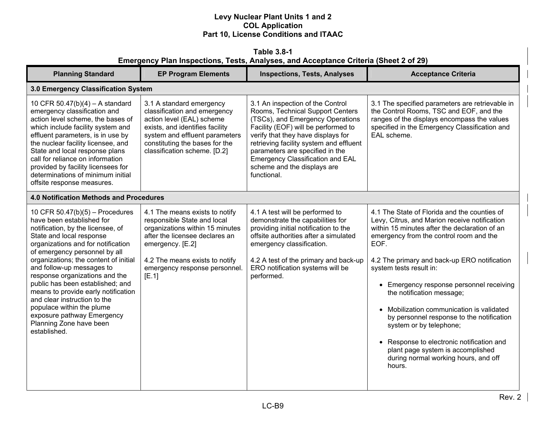**Table 3.8-1 Emergency Plan Inspections, Tests, Analyses, and Acceptance Criteria (Sheet 2 of 29)** 

| <b>Planning Standard</b>                                                                                                                                                                                                                                                                                                                                                                                                                                                                                                        | <b>EP Program Elements</b>                                                                                                                                                                                                         | <b>Inspections, Tests, Analyses</b>                                                                                                                                                                                                                                                                                                                          | <b>Acceptance Criteria</b>                                                                                                                                                                                                                                                                                                                                                                                                                                                                                                                                                                                     |  |  |
|---------------------------------------------------------------------------------------------------------------------------------------------------------------------------------------------------------------------------------------------------------------------------------------------------------------------------------------------------------------------------------------------------------------------------------------------------------------------------------------------------------------------------------|------------------------------------------------------------------------------------------------------------------------------------------------------------------------------------------------------------------------------------|--------------------------------------------------------------------------------------------------------------------------------------------------------------------------------------------------------------------------------------------------------------------------------------------------------------------------------------------------------------|----------------------------------------------------------------------------------------------------------------------------------------------------------------------------------------------------------------------------------------------------------------------------------------------------------------------------------------------------------------------------------------------------------------------------------------------------------------------------------------------------------------------------------------------------------------------------------------------------------------|--|--|
|                                                                                                                                                                                                                                                                                                                                                                                                                                                                                                                                 | 3.0 Emergency Classification System                                                                                                                                                                                                |                                                                                                                                                                                                                                                                                                                                                              |                                                                                                                                                                                                                                                                                                                                                                                                                                                                                                                                                                                                                |  |  |
| 10 CFR $50.47(b)(4) - A$ standard<br>emergency classification and<br>action level scheme, the bases of<br>which include facility system and<br>effluent parameters, is in use by<br>the nuclear facility licensee, and<br>State and local response plans<br>call for reliance on information<br>provided by facility licensees for<br>determinations of minimum initial<br>offsite response measures.                                                                                                                           | 3.1 A standard emergency<br>classification and emergency<br>action level (EAL) scheme<br>exists, and identifies facility<br>system and effluent parameters<br>constituting the bases for the<br>classification scheme. [D.2]       | 3.1 An inspection of the Control<br>Rooms, Technical Support Centers<br>(TSCs), and Emergency Operations<br>Facility (EOF) will be performed to<br>verify that they have displays for<br>retrieving facility system and effluent<br>parameters are specified in the<br><b>Emergency Classification and EAL</b><br>scheme and the displays are<br>functional. | 3.1 The specified parameters are retrievable in<br>the Control Rooms, TSC and EOF, and the<br>ranges of the displays encompass the values<br>specified in the Emergency Classification and<br>EAL scheme.                                                                                                                                                                                                                                                                                                                                                                                                      |  |  |
| <b>4.0 Notification Methods and Procedures</b>                                                                                                                                                                                                                                                                                                                                                                                                                                                                                  |                                                                                                                                                                                                                                    |                                                                                                                                                                                                                                                                                                                                                              |                                                                                                                                                                                                                                                                                                                                                                                                                                                                                                                                                                                                                |  |  |
| 10 CFR $50.47(b)(5)$ – Procedures<br>have been established for<br>notification, by the licensee, of<br>State and local response<br>organizations and for notification<br>of emergency personnel by all<br>organizations; the content of initial<br>and follow-up messages to<br>response organizations and the<br>public has been established; and<br>means to provide early notification<br>and clear instruction to the<br>populace within the plume<br>exposure pathway Emergency<br>Planning Zone have been<br>established. | 4.1 The means exists to notify<br>responsible State and local<br>organizations within 15 minutes<br>after the licensee declares an<br>emergency. [E.2]<br>4.2 The means exists to notify<br>emergency response personnel.<br>[E.1] | 4.1 A test will be performed to<br>demonstrate the capabilities for<br>providing initial notification to the<br>offsite authorities after a simulated<br>emergency classification.<br>4.2 A test of the primary and back-up<br>ERO notification systems will be<br>performed.                                                                                | 4.1 The State of Florida and the counties of<br>Levy, Citrus, and Marion receive notification<br>within 15 minutes after the declaration of an<br>emergency from the control room and the<br>EOF.<br>4.2 The primary and back-up ERO notification<br>system tests result in:<br>• Emergency response personnel receiving<br>the notification message;<br>• Mobilization communication is validated<br>by personnel response to the notification<br>system or by telephone;<br>• Response to electronic notification and<br>plant page system is accomplished<br>during normal working hours, and off<br>hours. |  |  |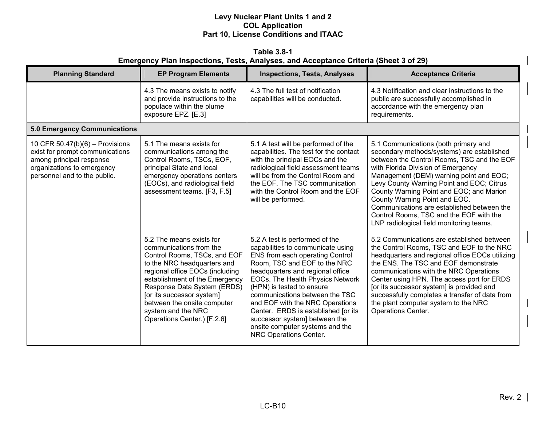**Table 3.8-1 Emergency Plan Inspections, Tests, Analyses, and Acceptance Criteria (Sheet 3 of 29)** 

| <b>Planning Standard</b>                                                                                                                                       | <b>EP Program Elements</b>                                                                                                                                                                                                                                                                                                              | <b>Inspections, Tests, Analyses</b>                                                                                                                                                                                                                                                                                                                                                                                                                          | <b>Acceptance Criteria</b>                                                                                                                                                                                                                                                                                                                                                                                                                                                       |
|----------------------------------------------------------------------------------------------------------------------------------------------------------------|-----------------------------------------------------------------------------------------------------------------------------------------------------------------------------------------------------------------------------------------------------------------------------------------------------------------------------------------|--------------------------------------------------------------------------------------------------------------------------------------------------------------------------------------------------------------------------------------------------------------------------------------------------------------------------------------------------------------------------------------------------------------------------------------------------------------|----------------------------------------------------------------------------------------------------------------------------------------------------------------------------------------------------------------------------------------------------------------------------------------------------------------------------------------------------------------------------------------------------------------------------------------------------------------------------------|
|                                                                                                                                                                | 4.3 The means exists to notify<br>and provide instructions to the<br>populace within the plume<br>exposure EPZ. [E.3]                                                                                                                                                                                                                   | 4.3 The full test of notification<br>capabilities will be conducted.                                                                                                                                                                                                                                                                                                                                                                                         | 4.3 Notification and clear instructions to the<br>public are successfully accomplished in<br>accordance with the emergency plan<br>requirements.                                                                                                                                                                                                                                                                                                                                 |
| <b>5.0 Emergency Communications</b>                                                                                                                            |                                                                                                                                                                                                                                                                                                                                         |                                                                                                                                                                                                                                                                                                                                                                                                                                                              |                                                                                                                                                                                                                                                                                                                                                                                                                                                                                  |
| 10 CFR $50.47(b)(6)$ – Provisions<br>exist for prompt communications<br>among principal response<br>organizations to emergency<br>personnel and to the public. | 5.1 The means exists for<br>communications among the<br>Control Rooms, TSCs, EOF,<br>principal State and local<br>emergency operations centers<br>(EOCs), and radiological field<br>assessment teams. [F3, F.5]                                                                                                                         | 5.1 A test will be performed of the<br>capabilities. The test for the contact<br>with the principal EOCs and the<br>radiological field assessment teams<br>will be from the Control Room and<br>the EOF. The TSC communication<br>with the Control Room and the EOF<br>will be performed.                                                                                                                                                                    | 5.1 Communications (both primary and<br>secondary methods/systems) are established<br>between the Control Rooms, TSC and the EOF<br>with Florida Division of Emergency<br>Management (DEM) warning point and EOC;<br>Levy County Warning Point and EOC; Citrus<br>County Warning Point and EOC; and Marion<br>County Warning Point and EOC.<br>Communications are established between the<br>Control Rooms, TSC and the EOF with the<br>LNP radiological field monitoring teams. |
|                                                                                                                                                                | 5.2 The means exists for<br>communications from the<br>Control Rooms, TSCs, and EOF<br>to the NRC headquarters and<br>regional office EOCs (including<br>establishment of the Emergency<br>Response Data System (ERDS)<br>[or its successor system]<br>between the onsite computer<br>system and the NRC<br>Operations Center.) [F.2.6] | 5.2 A test is performed of the<br>capabilities to communicate using<br>ENS from each operating Control<br>Room, TSC and EOF to the NRC<br>headquarters and regional office<br><b>EOCs. The Health Physics Network</b><br>(HPN) is tested to ensure<br>communications between the TSC<br>and EOF with the NRC Operations<br>Center. ERDS is established [or its<br>successor system] between the<br>onsite computer systems and the<br>NRC Operations Center. | 5.2 Communications are established between<br>the Control Rooms, TSC and EOF to the NRC<br>headquarters and regional office EOCs utilizing<br>the ENS. The TSC and EOF demonstrate<br>communications with the NRC Operations<br>Center using HPN. The access port for ERDS<br>[or its successor system] is provided and<br>successfully completes a transfer of data from<br>the plant computer system to the NRC<br>Operations Center.                                          |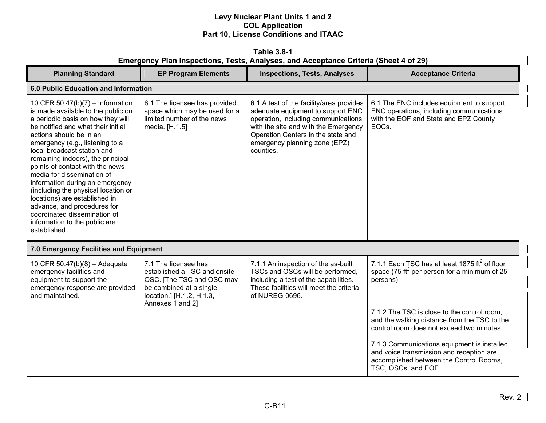**Table 3.8-1 Emergency Plan Inspections, Tests, Analyses, and Acceptance Criteria (Sheet 4 of 29)** 

| <b>Planning Standard</b>                                                                                                                                                                                                                                                                                                                                                                                                                                                                                                                                                        | <b>EP Program Elements</b>                                                                                                                                    | <b>Inspections, Tests, Analyses</b>                                                                                                                                                                                                              | <b>Acceptance Criteria</b>                                                                                                                                 |  |  |
|---------------------------------------------------------------------------------------------------------------------------------------------------------------------------------------------------------------------------------------------------------------------------------------------------------------------------------------------------------------------------------------------------------------------------------------------------------------------------------------------------------------------------------------------------------------------------------|---------------------------------------------------------------------------------------------------------------------------------------------------------------|--------------------------------------------------------------------------------------------------------------------------------------------------------------------------------------------------------------------------------------------------|------------------------------------------------------------------------------------------------------------------------------------------------------------|--|--|
|                                                                                                                                                                                                                                                                                                                                                                                                                                                                                                                                                                                 | 6.0 Public Education and Information                                                                                                                          |                                                                                                                                                                                                                                                  |                                                                                                                                                            |  |  |
| 10 CFR 50.47(b)(7) - Information<br>is made available to the public on<br>a periodic basis on how they will<br>be notified and what their initial<br>actions should be in an<br>emergency (e.g., listening to a<br>local broadcast station and<br>remaining indoors), the principal<br>points of contact with the news<br>media for dissemination of<br>information during an emergency<br>(including the physical location or<br>locations) are established in<br>advance, and procedures for<br>coordinated dissemination of<br>information to the public are<br>established. | 6.1 The licensee has provided<br>space which may be used for a<br>limited number of the news<br>media. [H.1.5]                                                | 6.1 A test of the facility/area provides<br>adequate equipment to support ENC<br>operation, including communications<br>with the site and with the Emergency<br>Operation Centers in the state and<br>emergency planning zone (EPZ)<br>counties. | 6.1 The ENC includes equipment to support<br>ENC operations, including communications<br>with the EOF and State and EPZ County<br>EOC <sub>s</sub> .       |  |  |
| 7.0 Emergency Facilities and Equipment                                                                                                                                                                                                                                                                                                                                                                                                                                                                                                                                          |                                                                                                                                                               |                                                                                                                                                                                                                                                  |                                                                                                                                                            |  |  |
| 10 CFR 50.47(b)(8) - Adequate<br>emergency facilities and<br>equipment to support the<br>emergency response are provided<br>and maintained.                                                                                                                                                                                                                                                                                                                                                                                                                                     | 7.1 The licensee has<br>established a TSC and onsite<br>OSC. [The TSC and OSC may<br>be combined at a single<br>location.] [H.1.2, H.1.3,<br>Annexes 1 and 2] | 7.1.1 An inspection of the as-built<br>TSCs and OSCs will be performed,<br>including a test of the capabilities.<br>These facilities will meet the criteria<br>of NUREG-0696.                                                                    | 7.1.1 Each TSC has at least 1875 $\text{ft}^2$ of floor<br>space (75 ft <sup>2</sup> per person for a minimum of 25<br>persons).                           |  |  |
|                                                                                                                                                                                                                                                                                                                                                                                                                                                                                                                                                                                 |                                                                                                                                                               |                                                                                                                                                                                                                                                  | 7.1.2 The TSC is close to the control room,<br>and the walking distance from the TSC to the<br>control room does not exceed two minutes.                   |  |  |
|                                                                                                                                                                                                                                                                                                                                                                                                                                                                                                                                                                                 |                                                                                                                                                               |                                                                                                                                                                                                                                                  | 7.1.3 Communications equipment is installed,<br>and voice transmission and reception are<br>accomplished between the Control Rooms,<br>TSC, OSCs, and EOF. |  |  |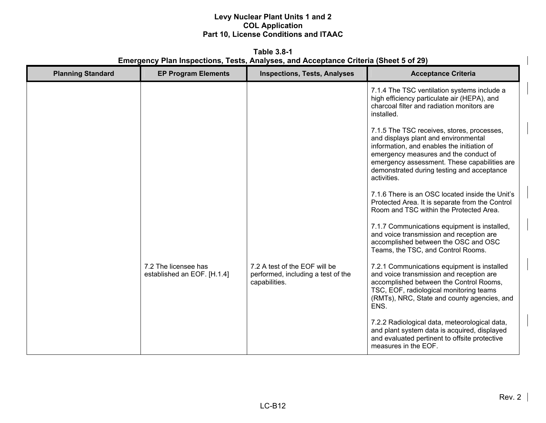**Table 3.8-1 Emergency Plan Inspections, Tests, Analyses, and Acceptance Criteria (Sheet 5 of 29)** 

| <b>Planning Standard</b> | <b>EP Program Elements</b>                          | <b>Inspections, Tests, Analyses</b>                                                  | <b>Acceptance Criteria</b>                                                                                                                                                                                                                                                             |
|--------------------------|-----------------------------------------------------|--------------------------------------------------------------------------------------|----------------------------------------------------------------------------------------------------------------------------------------------------------------------------------------------------------------------------------------------------------------------------------------|
|                          |                                                     |                                                                                      | 7.1.4 The TSC ventilation systems include a<br>high efficiency particulate air (HEPA), and<br>charcoal filter and radiation monitors are<br>installed.                                                                                                                                 |
|                          |                                                     |                                                                                      | 7.1.5 The TSC receives, stores, processes,<br>and displays plant and environmental<br>information, and enables the initiation of<br>emergency measures and the conduct of<br>emergency assessment. These capabilities are<br>demonstrated during testing and acceptance<br>activities. |
|                          |                                                     |                                                                                      | 7.1.6 There is an OSC located inside the Unit's<br>Protected Area. It is separate from the Control<br>Room and TSC within the Protected Area.                                                                                                                                          |
|                          |                                                     |                                                                                      | 7.1.7 Communications equipment is installed,<br>and voice transmission and reception are<br>accomplished between the OSC and OSC<br>Teams, the TSC, and Control Rooms.                                                                                                                 |
|                          | 7.2 The licensee has<br>established an EOF. [H.1.4] | 7.2 A test of the EOF will be<br>performed, including a test of the<br>capabilities. | 7.2.1 Communications equipment is installed<br>and voice transmission and reception are<br>accomplished between the Control Rooms,<br>TSC, EOF, radiological monitoring teams<br>(RMTs), NRC, State and county agencies, and<br>ENS.                                                   |
|                          |                                                     |                                                                                      | 7.2.2 Radiological data, meteorological data,<br>and plant system data is acquired, displayed<br>and evaluated pertinent to offsite protective<br>measures in the EOF.                                                                                                                 |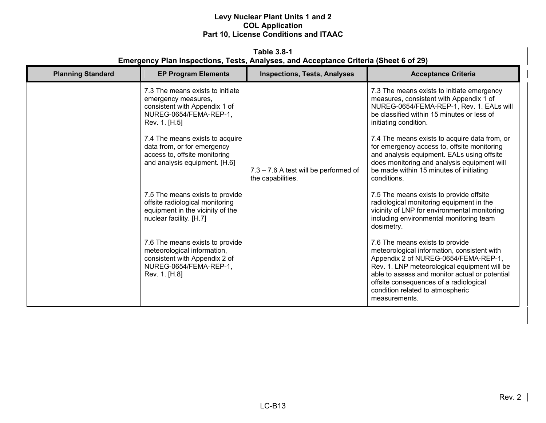**Table 3.8-1 Emergency Plan Inspections, Tests, Analyses, and Acceptance Criteria (Sheet 6 of 29)** 

| <b>Planning Standard</b> | <b>EP Program Elements</b>                                                                                                                 | <b>Inspections, Tests, Analyses</b>                        | <b>Acceptance Criteria</b>                                                                                                                                                                                                                                                                                              |
|--------------------------|--------------------------------------------------------------------------------------------------------------------------------------------|------------------------------------------------------------|-------------------------------------------------------------------------------------------------------------------------------------------------------------------------------------------------------------------------------------------------------------------------------------------------------------------------|
|                          | 7.3 The means exists to initiate<br>emergency measures,<br>consistent with Appendix 1 of<br>NUREG-0654/FEMA-REP-1,<br>Rev. 1. [H.5]        |                                                            | 7.3 The means exists to initiate emergency<br>measures, consistent with Appendix 1 of<br>NUREG-0654/FEMA-REP-1, Rev. 1. EALs will<br>be classified within 15 minutes or less of<br>initiating condition.                                                                                                                |
|                          | 7.4 The means exists to acquire<br>data from, or for emergency<br>access to, offsite monitoring<br>and analysis equipment. [H.6]           | 7.3 - 7.6 A test will be performed of<br>the capabilities. | 7.4 The means exists to acquire data from, or<br>for emergency access to, offsite monitoring<br>and analysis equipment. EALs using offsite<br>does monitoring and analysis equipment will<br>be made within 15 minutes of initiating<br>conditions.                                                                     |
|                          | 7.5 The means exists to provide<br>offsite radiological monitoring<br>equipment in the vicinity of the<br>nuclear facility. [H.7]          |                                                            | 7.5 The means exists to provide offsite<br>radiological monitoring equipment in the<br>vicinity of LNP for environmental monitoring<br>including environmental monitoring team<br>dosimetry.                                                                                                                            |
|                          | 7.6 The means exists to provide<br>meteorological information,<br>consistent with Appendix 2 of<br>NUREG-0654/FEMA-REP-1,<br>Rev. 1. [H.8] |                                                            | 7.6 The means exists to provide<br>meteorological information, consistent with<br>Appendix 2 of NUREG-0654/FEMA-REP-1,<br>Rev. 1. LNP meteorological equipment will be<br>able to assess and monitor actual or potential<br>offsite consequences of a radiological<br>condition related to atmospheric<br>measurements. |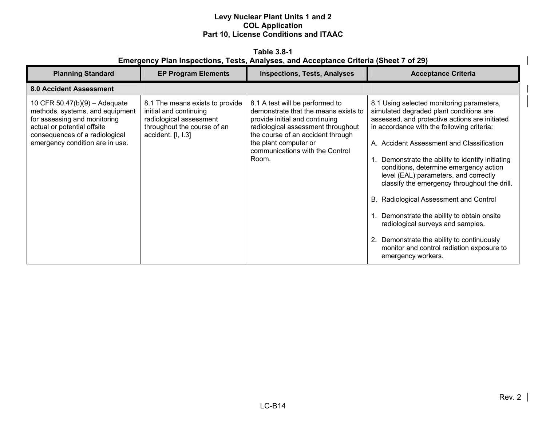**Table 3.8-1 Emergency Plan Inspections, Tests, Analyses, and Acceptance Criteria (Sheet 7 of 29)** 

| <b>Planning Standard</b>                                                                                                                                                                               | <b>EP Program Elements</b>                                                                                                                | <b>Inspections, Tests, Analyses</b>                                                                                                                                                                                                                       | <b>Acceptance Criteria</b>                                                                                                                                                                                                                                                                                                                                                                                                                                                                                                                                                                                                                                               |
|--------------------------------------------------------------------------------------------------------------------------------------------------------------------------------------------------------|-------------------------------------------------------------------------------------------------------------------------------------------|-----------------------------------------------------------------------------------------------------------------------------------------------------------------------------------------------------------------------------------------------------------|--------------------------------------------------------------------------------------------------------------------------------------------------------------------------------------------------------------------------------------------------------------------------------------------------------------------------------------------------------------------------------------------------------------------------------------------------------------------------------------------------------------------------------------------------------------------------------------------------------------------------------------------------------------------------|
| <b>8.0 Accident Assessment</b>                                                                                                                                                                         |                                                                                                                                           |                                                                                                                                                                                                                                                           |                                                                                                                                                                                                                                                                                                                                                                                                                                                                                                                                                                                                                                                                          |
| 10 CFR $50.47(b)(9) -$ Adequate<br>methods, systems, and equipment<br>for assessing and monitoring<br>actual or potential offsite<br>consequences of a radiological<br>emergency condition are in use. | 8.1 The means exists to provide<br>initial and continuing<br>radiological assessment<br>throughout the course of an<br>accident. [I, I.3] | 8.1 A test will be performed to<br>demonstrate that the means exists to<br>provide initial and continuing<br>radiological assessment throughout<br>the course of an accident through<br>the plant computer or<br>communications with the Control<br>Room. | 8.1 Using selected monitoring parameters,<br>simulated degraded plant conditions are<br>assessed, and protective actions are initiated<br>in accordance with the following criteria:<br>A. Accident Assessment and Classification<br>1. Demonstrate the ability to identify initiating<br>conditions, determine emergency action<br>level (EAL) parameters, and correctly<br>classify the emergency throughout the drill.<br>B. Radiological Assessment and Control<br>1. Demonstrate the ability to obtain onsite<br>radiological surveys and samples.<br>2. Demonstrate the ability to continuously<br>monitor and control radiation exposure to<br>emergency workers. |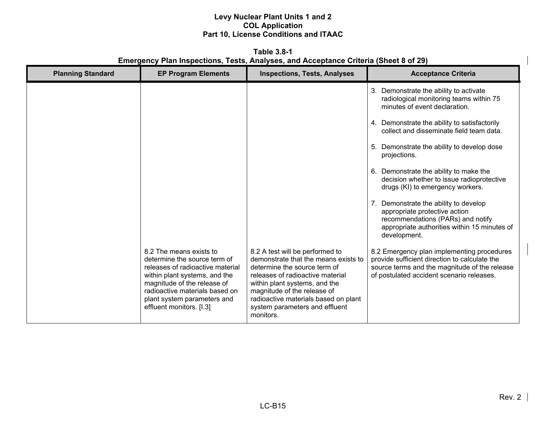**Table 3.8-1 Emergency Plan Inspections, Tests, Analyses, and Acceptance Criteria (Sheet 8 of 29)** 

| <b>Planning Standard</b> | <b>EP Program Elements</b>                                                                                                                                                                                                                               | <b>Inspections, Tests, Analyses</b>                                                                                                                                                                                                                                                                | <b>Acceptance Criteria</b>                                                                                                                                                                |
|--------------------------|----------------------------------------------------------------------------------------------------------------------------------------------------------------------------------------------------------------------------------------------------------|----------------------------------------------------------------------------------------------------------------------------------------------------------------------------------------------------------------------------------------------------------------------------------------------------|-------------------------------------------------------------------------------------------------------------------------------------------------------------------------------------------|
|                          |                                                                                                                                                                                                                                                          |                                                                                                                                                                                                                                                                                                    | 3. Demonstrate the ability to activate<br>radiological monitoring teams within 75<br>minutes of event declaration.                                                                        |
|                          |                                                                                                                                                                                                                                                          |                                                                                                                                                                                                                                                                                                    | 4. Demonstrate the ability to satisfactorily<br>collect and disseminate field team data.                                                                                                  |
|                          |                                                                                                                                                                                                                                                          |                                                                                                                                                                                                                                                                                                    | Demonstrate the ability to develop dose<br>5.<br>projections.                                                                                                                             |
|                          |                                                                                                                                                                                                                                                          |                                                                                                                                                                                                                                                                                                    | Demonstrate the ability to make the<br>6.<br>decision whether to issue radioprotective<br>drugs (KI) to emergency workers.                                                                |
|                          |                                                                                                                                                                                                                                                          |                                                                                                                                                                                                                                                                                                    | 7. Demonstrate the ability to develop<br>appropriate protective action<br>recommendations (PARs) and notify<br>appropriate authorities within 15 minutes of<br>development.               |
|                          | 8.2 The means exists to<br>determine the source term of<br>releases of radioactive material<br>within plant systems, and the<br>magnitude of the release of<br>radioactive materials based on<br>plant system parameters and<br>effluent monitors. [I.3] | 8.2 A test will be performed to<br>demonstrate that the means exists to<br>determine the source term of<br>releases of radioactive material<br>within plant systems, and the<br>magnitude of the release of<br>radioactive materials based on plant<br>system parameters and effluent<br>monitors. | 8.2 Emergency plan implementing procedures<br>provide sufficient direction to calculate the<br>source terms and the magnitude of the release<br>of postulated accident scenario releases. |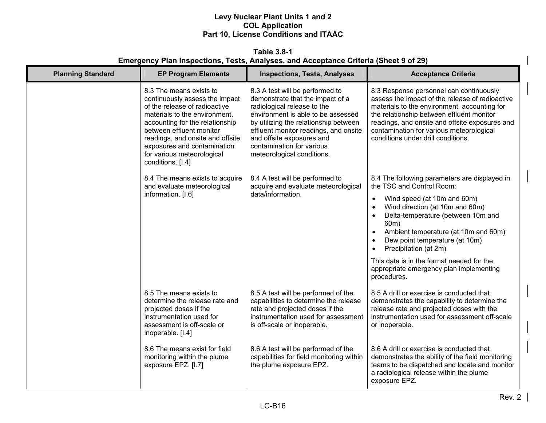**Table 3.8-1 Emergency Plan Inspections, Tests, Analyses, and Acceptance Criteria (Sheet 9 of 29)** 

| <b>Planning Standard</b> | <b>EP Program Elements</b>                                                                                                                                                                                                                                                                                       | <b>Inspections, Tests, Analyses</b>                                                                                                                                                                                                                                                                                | <b>Acceptance Criteria</b>                                                                                                                                                                                                                                                                                                  |
|--------------------------|------------------------------------------------------------------------------------------------------------------------------------------------------------------------------------------------------------------------------------------------------------------------------------------------------------------|--------------------------------------------------------------------------------------------------------------------------------------------------------------------------------------------------------------------------------------------------------------------------------------------------------------------|-----------------------------------------------------------------------------------------------------------------------------------------------------------------------------------------------------------------------------------------------------------------------------------------------------------------------------|
|                          | 8.3 The means exists to<br>continuously assess the impact<br>of the release of radioactive<br>materials to the environment,<br>accounting for the relationship<br>between effluent monitor<br>readings, and onsite and offsite<br>exposures and contamination<br>for various meteorological<br>conditions. [I.4] | 8.3 A test will be performed to<br>demonstrate that the impact of a<br>radiological release to the<br>environment is able to be assessed<br>by utilizing the relationship between<br>effluent monitor readings, and onsite<br>and offsite exposures and<br>contamination for various<br>meteorological conditions. | 8.3 Response personnel can continuously<br>assess the impact of the release of radioactive<br>materials to the environment, accounting for<br>the relationship between effluent monitor<br>readings, and onsite and offsite exposures and<br>contamination for various meteorological<br>conditions under drill conditions. |
|                          | 8.4 The means exists to acquire<br>and evaluate meteorological                                                                                                                                                                                                                                                   | 8.4 A test will be performed to<br>acquire and evaluate meteorological                                                                                                                                                                                                                                             | 8.4 The following parameters are displayed in<br>the TSC and Control Room:                                                                                                                                                                                                                                                  |
|                          | information. [I.6]                                                                                                                                                                                                                                                                                               | data/information.                                                                                                                                                                                                                                                                                                  | Wind speed (at 10m and 60m)<br>$\bullet$<br>Wind direction (at 10m and 60m)<br>$\bullet$<br>Delta-temperature (between 10m and<br>$\bullet$<br>60m)<br>Ambient temperature (at 10m and 60m)<br>$\bullet$<br>Dew point temperature (at 10m)<br>$\bullet$<br>Precipitation (at 2m)<br>$\bullet$                               |
|                          |                                                                                                                                                                                                                                                                                                                  |                                                                                                                                                                                                                                                                                                                    | This data is in the format needed for the<br>appropriate emergency plan implementing<br>procedures.                                                                                                                                                                                                                         |
|                          | 8.5 The means exists to<br>determine the release rate and<br>projected doses if the<br>instrumentation used for<br>assessment is off-scale or<br>inoperable. [I.4]                                                                                                                                               | 8.5 A test will be performed of the<br>capabilities to determine the release<br>rate and projected doses if the<br>instrumentation used for assessment<br>is off-scale or inoperable.                                                                                                                              | 8.5 A drill or exercise is conducted that<br>demonstrates the capability to determine the<br>release rate and projected doses with the<br>instrumentation used for assessment off-scale<br>or inoperable.                                                                                                                   |
|                          | 8.6 The means exist for field<br>monitoring within the plume<br>exposure EPZ. [I.7]                                                                                                                                                                                                                              | 8.6 A test will be performed of the<br>capabilities for field monitoring within<br>the plume exposure EPZ.                                                                                                                                                                                                         | 8.6 A drill or exercise is conducted that<br>demonstrates the ability of the field monitoring<br>teams to be dispatched and locate and monitor<br>a radiological release within the plume<br>exposure EPZ.                                                                                                                  |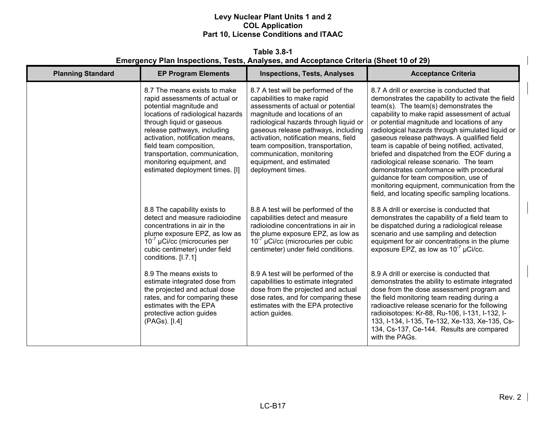**Table 3.8-1 Emergency Plan Inspections, Tests, Analyses, and Acceptance Criteria (Sheet 10 of 29)** 

| <b>Planning Standard</b> | <b>EP Program Elements</b>                                                                                                                                                                                                                                                                                                                                 | <b>Inspections, Tests, Analyses</b>                                                                                                                                                                                                                                                                                                                                                   | <b>Acceptance Criteria</b>                                                                                                                                                                                                                                                                                                                                                                                                                                                                                                                                                                                                                                                      |
|--------------------------|------------------------------------------------------------------------------------------------------------------------------------------------------------------------------------------------------------------------------------------------------------------------------------------------------------------------------------------------------------|---------------------------------------------------------------------------------------------------------------------------------------------------------------------------------------------------------------------------------------------------------------------------------------------------------------------------------------------------------------------------------------|---------------------------------------------------------------------------------------------------------------------------------------------------------------------------------------------------------------------------------------------------------------------------------------------------------------------------------------------------------------------------------------------------------------------------------------------------------------------------------------------------------------------------------------------------------------------------------------------------------------------------------------------------------------------------------|
|                          | 8.7 The means exists to make<br>rapid assessments of actual or<br>potential magnitude and<br>locations of radiological hazards<br>through liquid or gaseous<br>release pathways, including<br>activation, notification means,<br>field team composition,<br>transportation, communication,<br>monitoring equipment, and<br>estimated deployment times. [I] | 8.7 A test will be performed of the<br>capabilities to make rapid<br>assessments of actual or potential<br>magnitude and locations of an<br>radiological hazards through liquid or<br>gaseous release pathways, including<br>activation, notification means, field<br>team composition, transportation,<br>communication, monitoring<br>equipment, and estimated<br>deployment times. | 8.7 A drill or exercise is conducted that<br>demonstrates the capability to activate the field<br>team(s). The team(s) demonstrates the<br>capability to make rapid assessment of actual<br>or potential magnitude and locations of any<br>radiological hazards through simulated liquid or<br>gaseous release pathways. A qualified field<br>team is capable of being notified, activated,<br>briefed and dispatched from the EOF during a<br>radiological release scenario. The team<br>demonstrates conformance with procedural<br>guidance for team composition, use of<br>monitoring equipment, communication from the<br>field, and locating specific sampling locations. |
|                          | 8.8 The capability exists to<br>detect and measure radioiodine<br>concentrations in air in the<br>plume exposure EPZ, as low as<br>$10^{-7}$ µCi/cc (microcuries per<br>cubic centimeter) under field<br>conditions. [I.7.1]                                                                                                                               | 8.8 A test will be performed of the<br>capabilities detect and measure<br>radioiodine concentrations in air in<br>the plume exposure EPZ, as low as<br>$10^{-7}$ µCi/cc (microcuries per cubic<br>centimeter) under field conditions.                                                                                                                                                 | 8.8 A drill or exercise is conducted that<br>demonstrates the capability of a field team to<br>be dispatched during a radiological release<br>scenario and use sampling and detection<br>equipment for air concentrations in the plume<br>exposure EPZ, as low as $10^{-7}$ µCi/cc.                                                                                                                                                                                                                                                                                                                                                                                             |
|                          | 8.9 The means exists to<br>estimate integrated dose from<br>the projected and actual dose<br>rates, and for comparing these<br>estimates with the EPA<br>protective action guides<br>(PAGs). [I.4]                                                                                                                                                         | 8.9 A test will be performed of the<br>capabilities to estimate integrated<br>dose from the projected and actual<br>dose rates, and for comparing these<br>estimates with the EPA protective<br>action guides.                                                                                                                                                                        | 8.9 A drill or exercise is conducted that<br>demonstrates the ability to estimate integrated<br>dose from the dose assessment program and<br>the field monitoring team reading during a<br>radioactive release scenario for the following<br>radioisotopes: Kr-88, Ru-106, I-131, I-132, I-<br>133, I-134, I-135, Te-132, Xe-133, Xe-135, Cs-<br>134, Cs-137, Ce-144. Results are compared<br>with the PAGs.                                                                                                                                                                                                                                                                    |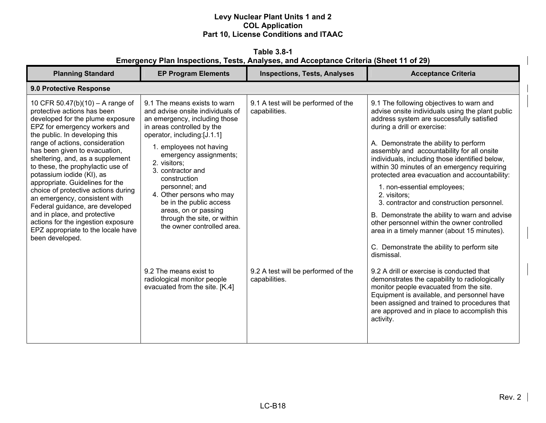**Table 3.8-1 Emergency Plan Inspections, Tests, Analyses, and Acceptance Criteria (Sheet 11 of 29)** 

| <b>Planning Standard</b>                                                                                                                                                                                                                                                                                                                                                                                                                                                                                                                                                                                                      | <b>EP Program Elements</b>                                                                                                                                                                                                                                                                                                                                                                                                                                                                                                        | <b>Inspections, Tests, Analyses</b>                                                                          | <b>Acceptance Criteria</b>                                                                                                                                                                                                                                                                                                                                                                                                                                                                                                                                                                                                                                                                                                                                                                                                                                                                                                                                                                                                   |
|-------------------------------------------------------------------------------------------------------------------------------------------------------------------------------------------------------------------------------------------------------------------------------------------------------------------------------------------------------------------------------------------------------------------------------------------------------------------------------------------------------------------------------------------------------------------------------------------------------------------------------|-----------------------------------------------------------------------------------------------------------------------------------------------------------------------------------------------------------------------------------------------------------------------------------------------------------------------------------------------------------------------------------------------------------------------------------------------------------------------------------------------------------------------------------|--------------------------------------------------------------------------------------------------------------|------------------------------------------------------------------------------------------------------------------------------------------------------------------------------------------------------------------------------------------------------------------------------------------------------------------------------------------------------------------------------------------------------------------------------------------------------------------------------------------------------------------------------------------------------------------------------------------------------------------------------------------------------------------------------------------------------------------------------------------------------------------------------------------------------------------------------------------------------------------------------------------------------------------------------------------------------------------------------------------------------------------------------|
| 9.0 Protective Response                                                                                                                                                                                                                                                                                                                                                                                                                                                                                                                                                                                                       |                                                                                                                                                                                                                                                                                                                                                                                                                                                                                                                                   |                                                                                                              |                                                                                                                                                                                                                                                                                                                                                                                                                                                                                                                                                                                                                                                                                                                                                                                                                                                                                                                                                                                                                              |
| 10 CFR 50.47(b)(10) – A range of<br>protective actions has been<br>developed for the plume exposure<br>EPZ for emergency workers and<br>the public. In developing this<br>range of actions, consideration<br>has been given to evacuation,<br>sheltering, and, as a supplement<br>to these, the prophylactic use of<br>potassium iodide (KI), as<br>appropriate. Guidelines for the<br>choice of protective actions during<br>an emergency, consistent with<br>Federal guidance, are developed<br>and in place, and protective<br>actions for the ingestion exposure<br>EPZ appropriate to the locale have<br>been developed. | 9.1 The means exists to warn<br>and advise onsite individuals of<br>an emergency, including those<br>in areas controlled by the<br>operator, including:[J.1.1]<br>1. employees not having<br>emergency assignments;<br>2. visitors;<br>3. contractor and<br>construction<br>personnel; and<br>4. Other persons who may<br>be in the public access<br>areas, on or passing<br>through the site, or within<br>the owner controlled area.<br>9.2 The means exist to<br>radiological monitor people<br>evacuated from the site. [K.4] | 9.1 A test will be performed of the<br>capabilities.<br>9.2 A test will be performed of the<br>capabilities. | 9.1 The following objectives to warn and<br>advise onsite individuals using the plant public<br>address system are successfully satisfied<br>during a drill or exercise:<br>A. Demonstrate the ability to perform<br>assembly and accountability for all onsite<br>individuals, including those identified below,<br>within 30 minutes of an emergency requiring<br>protected area evacuation and accountability:<br>1. non-essential employees;<br>2. visitors;<br>3. contractor and construction personnel.<br>B. Demonstrate the ability to warn and advise<br>other personnel within the owner controlled<br>area in a timely manner (about 15 minutes).<br>C. Demonstrate the ability to perform site<br>dismissal.<br>9.2 A drill or exercise is conducted that<br>demonstrates the capability to radiologically<br>monitor people evacuated from the site.<br>Equipment is available, and personnel have<br>been assigned and trained to procedures that<br>are approved and in place to accomplish this<br>activity. |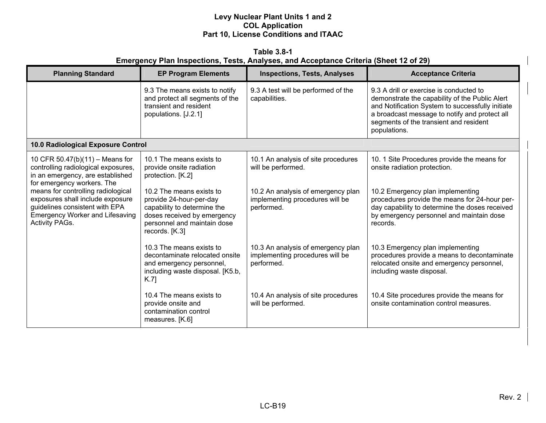**Table 3.8-1 Emergency Plan Inspections, Tests, Analyses, and Acceptance Criteria (Sheet 12 of 29)** 

| <b>Planning Standard</b>                                                                                                                                                    | <b>EP Program Elements</b>                                                                                                                                         | <b>Inspections, Tests, Analyses</b>                                                 | <b>Acceptance Criteria</b>                                                                                                                                                                                                                               |
|-----------------------------------------------------------------------------------------------------------------------------------------------------------------------------|--------------------------------------------------------------------------------------------------------------------------------------------------------------------|-------------------------------------------------------------------------------------|----------------------------------------------------------------------------------------------------------------------------------------------------------------------------------------------------------------------------------------------------------|
|                                                                                                                                                                             | 9.3 The means exists to notify<br>and protect all segments of the<br>transient and resident<br>populations. [J.2.1]                                                | 9.3 A test will be performed of the<br>capabilities.                                | 9.3 A drill or exercise is conducted to<br>demonstrate the capability of the Public Alert<br>and Notification System to successfully initiate<br>a broadcast message to notify and protect all<br>segments of the transient and resident<br>populations. |
| 10.0 Radiological Exposure Control                                                                                                                                          |                                                                                                                                                                    |                                                                                     |                                                                                                                                                                                                                                                          |
| 10 CFR 50.47(b)(11) - Means for<br>controlling radiological exposures,<br>in an emergency, are established<br>for emergency workers. The                                    | 10.1 The means exists to<br>provide onsite radiation<br>protection. [K.2]                                                                                          | 10.1 An analysis of site procedures<br>will be performed.                           | 10. 1 Site Procedures provide the means for<br>onsite radiation protection.                                                                                                                                                                              |
| means for controlling radiological<br>exposures shall include exposure<br>guidelines consistent with EPA<br><b>Emergency Worker and Lifesaving</b><br><b>Activity PAGs.</b> | 10.2 The means exists to<br>provide 24-hour-per-day<br>capability to determine the<br>doses received by emergency<br>personnel and maintain dose<br>records. [K.3] | 10.2 An analysis of emergency plan<br>implementing procedures will be<br>performed. | 10.2 Emergency plan implementing<br>procedures provide the means for 24-hour per-<br>day capability to determine the doses received<br>by emergency personnel and maintain dose<br>records.                                                              |
|                                                                                                                                                                             | 10.3 The means exists to<br>decontaminate relocated onsite<br>and emergency personnel,<br>including waste disposal. [K5.b,<br>K.7                                  | 10.3 An analysis of emergency plan<br>implementing procedures will be<br>performed. | 10.3 Emergency plan implementing<br>procedures provide a means to decontaminate<br>relocated onsite and emergency personnel,<br>including waste disposal.                                                                                                |
|                                                                                                                                                                             | 10.4 The means exists to<br>provide onsite and<br>contamination control<br>measures. [K.6]                                                                         | 10.4 An analysis of site procedures<br>will be performed.                           | 10.4 Site procedures provide the means for<br>onsite contamination control measures.                                                                                                                                                                     |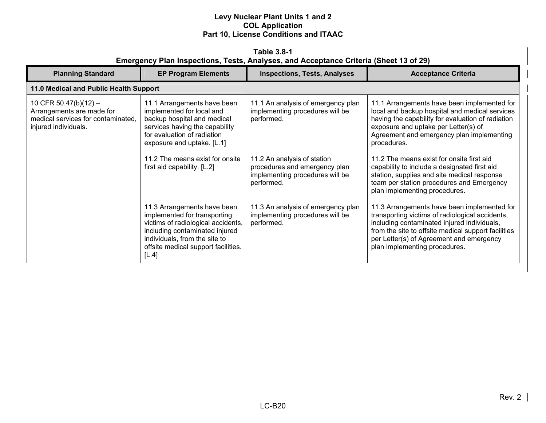**Table 3.8-1 Emergency Plan Inspections, Tests, Analyses, and Acceptance Criteria (Sheet 13 of 29)** 

| <b>Planning Standard</b>                                                                                         | <b>EP Program Elements</b>                                                                                                                                                                                           | <b>Inspections, Tests, Analyses</b>                                                                           | <b>Acceptance Criteria</b>                                                                                                                                                                                                                                                        |
|------------------------------------------------------------------------------------------------------------------|----------------------------------------------------------------------------------------------------------------------------------------------------------------------------------------------------------------------|---------------------------------------------------------------------------------------------------------------|-----------------------------------------------------------------------------------------------------------------------------------------------------------------------------------------------------------------------------------------------------------------------------------|
| 11.0 Medical and Public Health Support                                                                           |                                                                                                                                                                                                                      |                                                                                                               |                                                                                                                                                                                                                                                                                   |
| 10 CFR 50.47(b)(12) -<br>Arrangements are made for<br>medical services for contaminated,<br>injured individuals. | 11.1 Arrangements have been<br>implemented for local and<br>backup hospital and medical<br>services having the capability<br>for evaluation of radiation<br>exposure and uptake. [L.1]                               | 11.1 An analysis of emergency plan<br>implementing procedures will be<br>performed.                           | 11.1 Arrangements have been implemented for<br>local and backup hospital and medical services<br>having the capability for evaluation of radiation<br>exposure and uptake per Letter(s) of<br>Agreement and emergency plan implementing<br>procedures.                            |
|                                                                                                                  | 11.2 The means exist for onsite<br>first aid capability. [L.2]                                                                                                                                                       | 11.2 An analysis of station<br>procedures and emergency plan<br>implementing procedures will be<br>performed. | 11.2 The means exist for onsite first aid<br>capability to include a designated first aid<br>station, supplies and site medical response<br>team per station procedures and Emergency<br>plan implementing procedures.                                                            |
|                                                                                                                  | 11.3 Arrangements have been<br>implemented for transporting<br>victims of radiological accidents,<br>including contaminated injured<br>individuals, from the site to<br>offsite medical support facilities.<br>[L.4] | 11.3 An analysis of emergency plan<br>implementing procedures will be<br>performed.                           | 11.3 Arrangements have been implemented for<br>transporting victims of radiological accidents,<br>including contaminated injured individuals,<br>from the site to offsite medical support facilities<br>per Letter(s) of Agreement and emergency<br>plan implementing procedures. |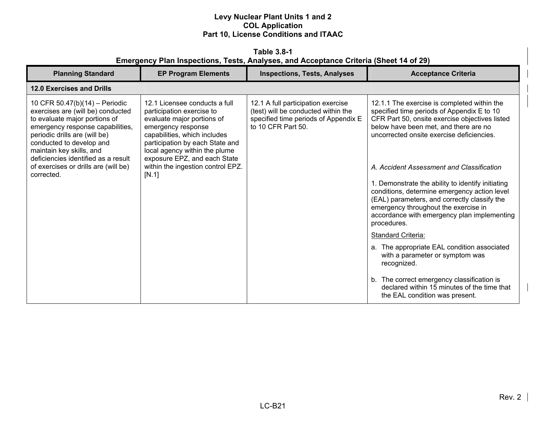**Table 3.8-1 Emergency Plan Inspections, Tests, Analyses, and Acceptance Criteria (Sheet 14 of 29)** 

| <b>Planning Standard</b>                                                                                                                                                                                                                                                                                                       | <b>EP Program Elements</b>                                                                                                                                                                                                                                                                       | <b>Inspections, Tests, Analyses</b>                                                                                                     | <b>Acceptance Criteria</b>                                                                                                                                                                                                                                                                                                                                                                                                                                                                                                                                      |
|--------------------------------------------------------------------------------------------------------------------------------------------------------------------------------------------------------------------------------------------------------------------------------------------------------------------------------|--------------------------------------------------------------------------------------------------------------------------------------------------------------------------------------------------------------------------------------------------------------------------------------------------|-----------------------------------------------------------------------------------------------------------------------------------------|-----------------------------------------------------------------------------------------------------------------------------------------------------------------------------------------------------------------------------------------------------------------------------------------------------------------------------------------------------------------------------------------------------------------------------------------------------------------------------------------------------------------------------------------------------------------|
| <b>12.0 Exercises and Drills</b>                                                                                                                                                                                                                                                                                               |                                                                                                                                                                                                                                                                                                  |                                                                                                                                         |                                                                                                                                                                                                                                                                                                                                                                                                                                                                                                                                                                 |
| 10 CFR 50.47(b)(14) - Periodic<br>exercises are (will be) conducted<br>to evaluate major portions of<br>emergency response capabilities,<br>periodic drills are (will be)<br>conducted to develop and<br>maintain key skills, and<br>deficiencies identified as a result<br>of exercises or drills are (will be)<br>corrected. | 12.1 Licensee conducts a full<br>participation exercise to<br>evaluate major portions of<br>emergency response<br>capabilities, which includes<br>participation by each State and<br>local agency within the plume<br>exposure EPZ, and each State<br>within the ingestion control EPZ.<br>[N.1] | 12.1 A full participation exercise<br>(test) will be conducted within the<br>specified time periods of Appendix E<br>to 10 CFR Part 50. | 12.1.1 The exercise is completed within the<br>specified time periods of Appendix E to 10<br>CFR Part 50, onsite exercise objectives listed<br>below have been met, and there are no<br>uncorrected onsite exercise deficiencies.<br>A. Accident Assessment and Classification<br>1. Demonstrate the ability to identify initiating<br>conditions, determine emergency action level<br>(EAL) parameters, and correctly classify the<br>emergency throughout the exercise in<br>accordance with emergency plan implementing<br>procedures.<br>Standard Criteria: |
|                                                                                                                                                                                                                                                                                                                                |                                                                                                                                                                                                                                                                                                  |                                                                                                                                         | a. The appropriate EAL condition associated<br>with a parameter or symptom was<br>recognized.                                                                                                                                                                                                                                                                                                                                                                                                                                                                   |
|                                                                                                                                                                                                                                                                                                                                |                                                                                                                                                                                                                                                                                                  |                                                                                                                                         | b. The correct emergency classification is<br>declared within 15 minutes of the time that<br>the EAL condition was present.                                                                                                                                                                                                                                                                                                                                                                                                                                     |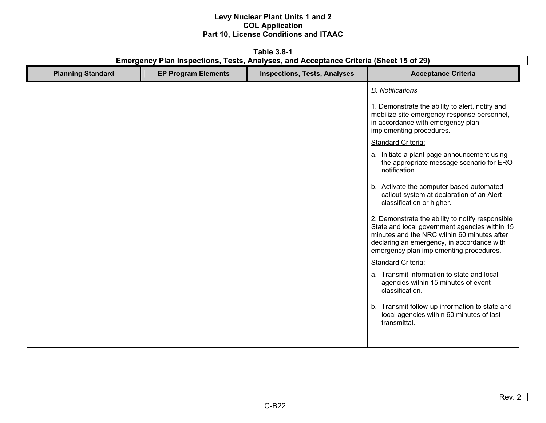**Table 3.8-1 Emergency Plan Inspections, Tests, Analyses, and Acceptance Criteria (Sheet 15 of 29)** 

| <b>Planning Standard</b> | <b>EP Program Elements</b> | <b>Inspections, Tests, Analyses</b> | <b>Acceptance Criteria</b>                                                                                                                                                                                                                |
|--------------------------|----------------------------|-------------------------------------|-------------------------------------------------------------------------------------------------------------------------------------------------------------------------------------------------------------------------------------------|
|                          |                            |                                     | <b>B.</b> Notifications                                                                                                                                                                                                                   |
|                          |                            |                                     | 1. Demonstrate the ability to alert, notify and<br>mobilize site emergency response personnel,<br>in accordance with emergency plan<br>implementing procedures.                                                                           |
|                          |                            |                                     | <b>Standard Criteria:</b>                                                                                                                                                                                                                 |
|                          |                            |                                     | a. Initiate a plant page announcement using<br>the appropriate message scenario for ERO<br>notification.                                                                                                                                  |
|                          |                            |                                     | b. Activate the computer based automated<br>callout system at declaration of an Alert<br>classification or higher.                                                                                                                        |
|                          |                            |                                     | 2. Demonstrate the ability to notify responsible<br>State and local government agencies within 15<br>minutes and the NRC within 60 minutes after<br>declaring an emergency, in accordance with<br>emergency plan implementing procedures. |
|                          |                            |                                     | <b>Standard Criteria:</b>                                                                                                                                                                                                                 |
|                          |                            |                                     | a. Transmit information to state and local<br>agencies within 15 minutes of event<br>classification.                                                                                                                                      |
|                          |                            |                                     | b. Transmit follow-up information to state and<br>local agencies within 60 minutes of last<br>transmittal.                                                                                                                                |
|                          |                            |                                     |                                                                                                                                                                                                                                           |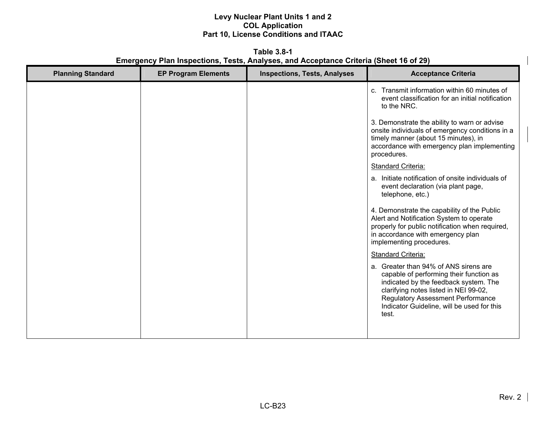**Table 3.8-1 Emergency Plan Inspections, Tests, Analyses, and Acceptance Criteria (Sheet 16 of 29)** 

| <b>Planning Standard</b> | <b>EP Program Elements</b> | <b>Inspections, Tests, Analyses</b> | <b>Acceptance Criteria</b>                                                                                                                                                                                                                                            |
|--------------------------|----------------------------|-------------------------------------|-----------------------------------------------------------------------------------------------------------------------------------------------------------------------------------------------------------------------------------------------------------------------|
|                          |                            |                                     | c. Transmit information within 60 minutes of<br>event classification for an initial notification<br>to the NRC.                                                                                                                                                       |
|                          |                            |                                     | 3. Demonstrate the ability to warn or advise<br>onsite individuals of emergency conditions in a<br>timely manner (about 15 minutes), in<br>accordance with emergency plan implementing<br>procedures.                                                                 |
|                          |                            |                                     | Standard Criteria:                                                                                                                                                                                                                                                    |
|                          |                            |                                     | a. Initiate notification of onsite individuals of<br>event declaration (via plant page,<br>telephone, etc.)                                                                                                                                                           |
|                          |                            |                                     | 4. Demonstrate the capability of the Public<br>Alert and Notification System to operate<br>properly for public notification when required,<br>in accordance with emergency plan<br>implementing procedures.                                                           |
|                          |                            |                                     | Standard Criteria:                                                                                                                                                                                                                                                    |
|                          |                            |                                     | a. Greater than 94% of ANS sirens are<br>capable of performing their function as<br>indicated by the feedback system. The<br>clarifying notes listed in NEI 99-02,<br><b>Regulatory Assessment Performance</b><br>Indicator Guideline, will be used for this<br>test. |
|                          |                            |                                     |                                                                                                                                                                                                                                                                       |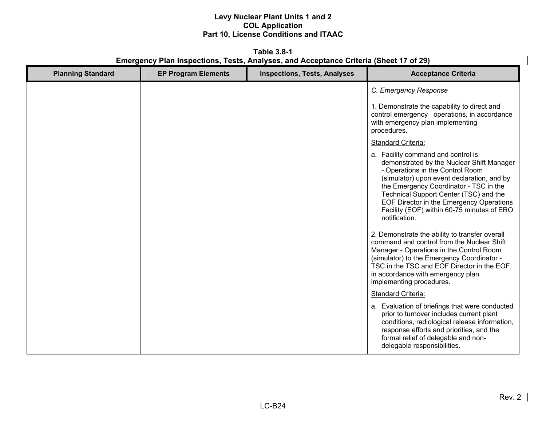**Table 3.8-1 Emergency Plan Inspections, Tests, Analyses, and Acceptance Criteria (Sheet 17 of 29)** 

| <b>Planning Standard</b> | <b>EP Program Elements</b> | <b>Inspections, Tests, Analyses</b> | <b>Acceptance Criteria</b>                                                                                                                                                                                                                                                                                                                                       |
|--------------------------|----------------------------|-------------------------------------|------------------------------------------------------------------------------------------------------------------------------------------------------------------------------------------------------------------------------------------------------------------------------------------------------------------------------------------------------------------|
|                          |                            |                                     | C. Emergency Response                                                                                                                                                                                                                                                                                                                                            |
|                          |                            |                                     | 1. Demonstrate the capability to direct and<br>control emergency operations, in accordance<br>with emergency plan implementing<br>procedures.                                                                                                                                                                                                                    |
|                          |                            |                                     | Standard Criteria:                                                                                                                                                                                                                                                                                                                                               |
|                          |                            |                                     | a. Facility command and control is<br>demonstrated by the Nuclear Shift Manager<br>- Operations in the Control Room<br>(simulator) upon event declaration, and by<br>the Emergency Coordinator - TSC in the<br>Technical Support Center (TSC) and the<br>EOF Director in the Emergency Operations<br>Facility (EOF) within 60-75 minutes of ERO<br>notification. |
|                          |                            |                                     | 2. Demonstrate the ability to transfer overall<br>command and control from the Nuclear Shift<br>Manager - Operations in the Control Room<br>(simulator) to the Emergency Coordinator -<br>TSC in the TSC and EOF Director in the EOF,<br>in accordance with emergency plan<br>implementing procedures.                                                           |
|                          |                            |                                     | <b>Standard Criteria:</b>                                                                                                                                                                                                                                                                                                                                        |
|                          |                            |                                     | a. Evaluation of briefings that were conducted<br>prior to turnover includes current plant<br>conditions, radiological release information,<br>response efforts and priorities, and the<br>formal relief of delegable and non-<br>delegable responsibilities.                                                                                                    |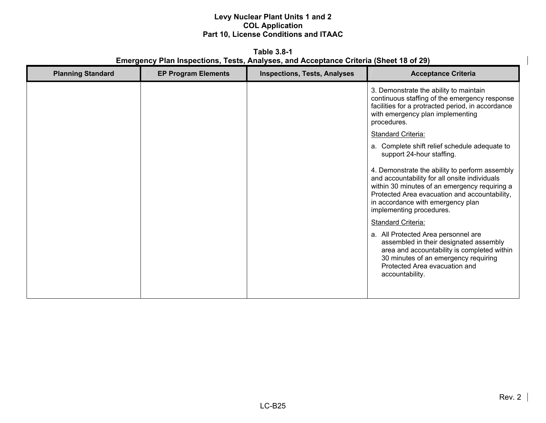**Table 3.8-1 Emergency Plan Inspections, Tests, Analyses, and Acceptance Criteria (Sheet 18 of 29)** 

| <b>Planning Standard</b> | <b>EP Program Elements</b> | <b>Inspections, Tests, Analyses</b> | <b>Acceptance Criteria</b>                                                                                                                                                                                                                                         |
|--------------------------|----------------------------|-------------------------------------|--------------------------------------------------------------------------------------------------------------------------------------------------------------------------------------------------------------------------------------------------------------------|
|                          |                            |                                     | 3. Demonstrate the ability to maintain<br>continuous staffing of the emergency response<br>facilities for a protracted period, in accordance<br>with emergency plan implementing<br>procedures.                                                                    |
|                          |                            |                                     | <b>Standard Criteria:</b>                                                                                                                                                                                                                                          |
|                          |                            |                                     | a. Complete shift relief schedule adequate to<br>support 24-hour staffing.                                                                                                                                                                                         |
|                          |                            |                                     | 4. Demonstrate the ability to perform assembly<br>and accountability for all onsite individuals<br>within 30 minutes of an emergency requiring a<br>Protected Area evacuation and accountability,<br>in accordance with emergency plan<br>implementing procedures. |
|                          |                            |                                     | <b>Standard Criteria:</b>                                                                                                                                                                                                                                          |
|                          |                            |                                     | a. All Protected Area personnel are<br>assembled in their designated assembly<br>area and accountability is completed within<br>30 minutes of an emergency requiring<br>Protected Area evacuation and<br>accountability.                                           |
|                          |                            |                                     |                                                                                                                                                                                                                                                                    |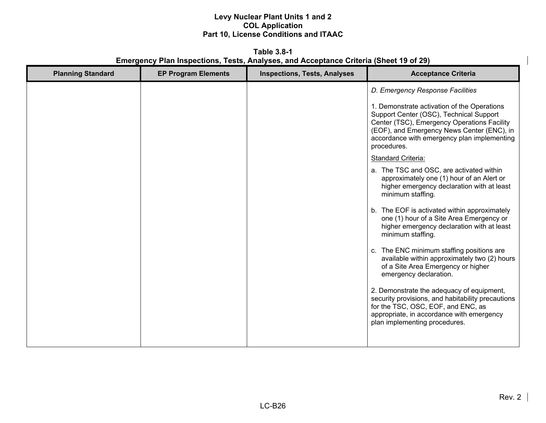**Table 3.8-1 Emergency Plan Inspections, Tests, Analyses, and Acceptance Criteria (Sheet 19 of 29)** 

| <b>Planning Standard</b> | <b>EP Program Elements</b> | <b>Inspections, Tests, Analyses</b> | <b>Acceptance Criteria</b>                                                                                                                                                                                                                        |
|--------------------------|----------------------------|-------------------------------------|---------------------------------------------------------------------------------------------------------------------------------------------------------------------------------------------------------------------------------------------------|
|                          |                            |                                     | D. Emergency Response Facilities                                                                                                                                                                                                                  |
|                          |                            |                                     | 1. Demonstrate activation of the Operations<br>Support Center (OSC), Technical Support<br>Center (TSC), Emergency Operations Facility<br>(EOF), and Emergency News Center (ENC), in<br>accordance with emergency plan implementing<br>procedures. |
|                          |                            |                                     | Standard Criteria:                                                                                                                                                                                                                                |
|                          |                            |                                     | a. The TSC and OSC, are activated within<br>approximately one (1) hour of an Alert or<br>higher emergency declaration with at least<br>minimum staffing.                                                                                          |
|                          |                            |                                     | b. The EOF is activated within approximately<br>one (1) hour of a Site Area Emergency or<br>higher emergency declaration with at least<br>minimum staffing.                                                                                       |
|                          |                            |                                     | c. The ENC minimum staffing positions are<br>available within approximately two (2) hours<br>of a Site Area Emergency or higher<br>emergency declaration.                                                                                         |
|                          |                            |                                     | 2. Demonstrate the adequacy of equipment,<br>security provisions, and habitability precautions<br>for the TSC, OSC, EOF, and ENC, as<br>appropriate, in accordance with emergency<br>plan implementing procedures.                                |
|                          |                            |                                     |                                                                                                                                                                                                                                                   |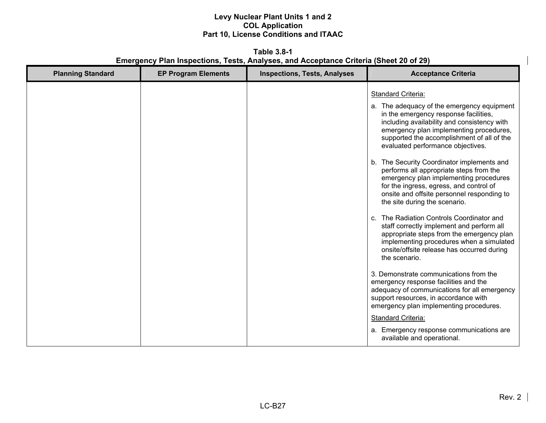**Table 3.8-1 Emergency Plan Inspections, Tests, Analyses, and Acceptance Criteria (Sheet 20 of 29)** 

| <b>Planning Standard</b> | <b>EP Program Elements</b> | <b>Inspections, Tests, Analyses</b> | <b>Acceptance Criteria</b>                                                                                                                                                                                                                                                                                                                                                                                                                                                                                                                                                                                                                                                                 |
|--------------------------|----------------------------|-------------------------------------|--------------------------------------------------------------------------------------------------------------------------------------------------------------------------------------------------------------------------------------------------------------------------------------------------------------------------------------------------------------------------------------------------------------------------------------------------------------------------------------------------------------------------------------------------------------------------------------------------------------------------------------------------------------------------------------------|
|                          |                            |                                     | Standard Criteria:<br>a. The adequacy of the emergency equipment<br>in the emergency response facilities,<br>including availability and consistency with<br>emergency plan implementing procedures,<br>supported the accomplishment of all of the<br>evaluated performance objectives.<br>b. The Security Coordinator implements and<br>performs all appropriate steps from the<br>emergency plan implementing procedures<br>for the ingress, egress, and control of<br>onsite and offsite personnel responding to<br>the site during the scenario.<br>c. The Radiation Controls Coordinator and<br>staff correctly implement and perform all<br>appropriate steps from the emergency plan |
|                          |                            |                                     | implementing procedures when a simulated<br>onsite/offsite release has occurred during<br>the scenario.<br>3. Demonstrate communications from the<br>emergency response facilities and the<br>adequacy of communications for all emergency<br>support resources, in accordance with<br>emergency plan implementing procedures.<br><b>Standard Criteria:</b><br>a. Emergency response communications are<br>available and operational.                                                                                                                                                                                                                                                      |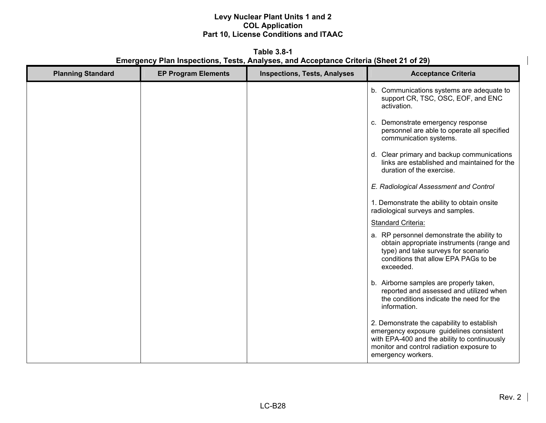**Table 3.8-1 Emergency Plan Inspections, Tests, Analyses, and Acceptance Criteria (Sheet 21 of 29)** 

| <b>Planning Standard</b> | <b>EP Program Elements</b> | <b>Inspections, Tests, Analyses</b> | <b>Acceptance Criteria</b>                                                                                                                                                                                |
|--------------------------|----------------------------|-------------------------------------|-----------------------------------------------------------------------------------------------------------------------------------------------------------------------------------------------------------|
|                          |                            |                                     | b. Communications systems are adequate to<br>support CR, TSC, OSC, EOF, and ENC<br>activation.                                                                                                            |
|                          |                            |                                     | c. Demonstrate emergency response<br>personnel are able to operate all specified<br>communication systems.                                                                                                |
|                          |                            |                                     | d. Clear primary and backup communications<br>links are established and maintained for the<br>duration of the exercise.                                                                                   |
|                          |                            |                                     | E. Radiological Assessment and Control                                                                                                                                                                    |
|                          |                            |                                     | 1. Demonstrate the ability to obtain onsite<br>radiological surveys and samples.                                                                                                                          |
|                          |                            |                                     | <b>Standard Criteria:</b>                                                                                                                                                                                 |
|                          |                            |                                     | a. RP personnel demonstrate the ability to<br>obtain appropriate instruments (range and<br>type) and take surveys for scenario<br>conditions that allow EPA PAGs to be<br>exceeded.                       |
|                          |                            |                                     | b. Airborne samples are properly taken,<br>reported and assessed and utilized when<br>the conditions indicate the need for the<br>information.                                                            |
|                          |                            |                                     | 2. Demonstrate the capability to establish<br>emergency exposure guidelines consistent<br>with EPA-400 and the ability to continuously<br>monitor and control radiation exposure to<br>emergency workers. |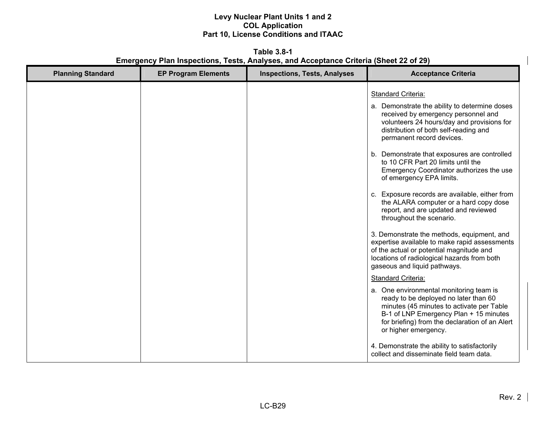**Table 3.8-1 Emergency Plan Inspections, Tests, Analyses, and Acceptance Criteria (Sheet 22 of 29)** 

| <b>Planning Standard</b> | <b>EP Program Elements</b> | <b>Inspections, Tests, Analyses</b> | <b>Acceptance Criteria</b>                                                                                                                                                                                                                                                                                                                                                                                                                                                                                                                                                                                                                                                                                                                                                                                                                                                                                                                                                                                                                                                                                               |
|--------------------------|----------------------------|-------------------------------------|--------------------------------------------------------------------------------------------------------------------------------------------------------------------------------------------------------------------------------------------------------------------------------------------------------------------------------------------------------------------------------------------------------------------------------------------------------------------------------------------------------------------------------------------------------------------------------------------------------------------------------------------------------------------------------------------------------------------------------------------------------------------------------------------------------------------------------------------------------------------------------------------------------------------------------------------------------------------------------------------------------------------------------------------------------------------------------------------------------------------------|
|                          |                            |                                     | <b>Standard Criteria:</b><br>a. Demonstrate the ability to determine doses<br>received by emergency personnel and<br>volunteers 24 hours/day and provisions for<br>distribution of both self-reading and<br>permanent record devices.<br>b. Demonstrate that exposures are controlled<br>to 10 CFR Part 20 limits until the<br>Emergency Coordinator authorizes the use<br>of emergency EPA limits.<br>c. Exposure records are available, either from<br>the ALARA computer or a hard copy dose<br>report, and are updated and reviewed<br>throughout the scenario.<br>3. Demonstrate the methods, equipment, and<br>expertise available to make rapid assessments<br>of the actual or potential magnitude and<br>locations of radiological hazards from both<br>gaseous and liquid pathways.<br>Standard Criteria:<br>a. One environmental monitoring team is<br>ready to be deployed no later than 60<br>minutes (45 minutes to activate per Table<br>B-1 of LNP Emergency Plan + 15 minutes<br>for briefing) from the declaration of an Alert<br>or higher emergency.<br>4. Demonstrate the ability to satisfactorily |
|                          |                            |                                     | collect and disseminate field team data.                                                                                                                                                                                                                                                                                                                                                                                                                                                                                                                                                                                                                                                                                                                                                                                                                                                                                                                                                                                                                                                                                 |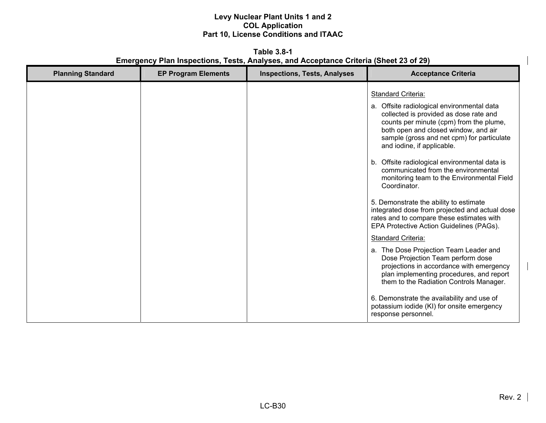**Table 3.8-1 Emergency Plan Inspections, Tests, Analyses, and Acceptance Criteria (Sheet 23 of 29)** 

| <b>Planning Standard</b> | <b>EP Program Elements</b> | <b>Inspections, Tests, Analyses</b> | <b>Acceptance Criteria</b>                                                                                                                                                                                                                                                                                                                                                                                                                                                                                                                                                                                                                                                                                                                                                                                                                                          |
|--------------------------|----------------------------|-------------------------------------|---------------------------------------------------------------------------------------------------------------------------------------------------------------------------------------------------------------------------------------------------------------------------------------------------------------------------------------------------------------------------------------------------------------------------------------------------------------------------------------------------------------------------------------------------------------------------------------------------------------------------------------------------------------------------------------------------------------------------------------------------------------------------------------------------------------------------------------------------------------------|
|                          |                            |                                     | Standard Criteria:<br>a. Offsite radiological environmental data<br>collected is provided as dose rate and<br>counts per minute (cpm) from the plume,<br>both open and closed window, and air<br>sample (gross and net cpm) for particulate<br>and iodine, if applicable.<br>b. Offsite radiological environmental data is<br>communicated from the environmental<br>monitoring team to the Environmental Field<br>Coordinator.<br>5. Demonstrate the ability to estimate<br>integrated dose from projected and actual dose<br>rates and to compare these estimates with<br>EPA Protective Action Guidelines (PAGs).<br><b>Standard Criteria:</b><br>a. The Dose Projection Team Leader and<br>Dose Projection Team perform dose<br>projections in accordance with emergency<br>plan implementing procedures, and report<br>them to the Radiation Controls Manager. |
|                          |                            |                                     | 6. Demonstrate the availability and use of<br>potassium iodide (KI) for onsite emergency<br>response personnel.                                                                                                                                                                                                                                                                                                                                                                                                                                                                                                                                                                                                                                                                                                                                                     |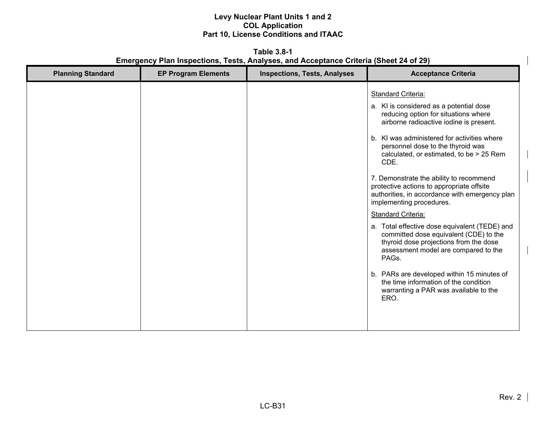**Table 3.8-1 Emergency Plan Inspections, Tests, Analyses, and Acceptance Criteria (Sheet 24 of 29)** 

| <b>Planning Standard</b> | <b>EP Program Elements</b> | <b>Inspections, Tests, Analyses</b> | <b>Acceptance Criteria</b>                                                                                                                                                                                                                                                                                                                                                                                                                                                                                                                                                                                                                                                                                                                                                                                                |
|--------------------------|----------------------------|-------------------------------------|---------------------------------------------------------------------------------------------------------------------------------------------------------------------------------------------------------------------------------------------------------------------------------------------------------------------------------------------------------------------------------------------------------------------------------------------------------------------------------------------------------------------------------------------------------------------------------------------------------------------------------------------------------------------------------------------------------------------------------------------------------------------------------------------------------------------------|
|                          |                            |                                     | <b>Standard Criteria:</b><br>a. KI is considered as a potential dose<br>reducing option for situations where<br>airborne radioactive iodine is present.<br>b. KI was administered for activities where<br>personnel dose to the thyroid was<br>calculated, or estimated, to be > 25 Rem<br>CDE.<br>7. Demonstrate the ability to recommend<br>protective actions to appropriate offsite<br>authorities, in accordance with emergency plan<br>implementing procedures.<br>Standard Criteria:<br>a. Total effective dose equivalent (TEDE) and<br>committed dose equivalent (CDE) to the<br>thyroid dose projections from the dose<br>assessment model are compared to the<br>PAGs.<br>b. PARs are developed within 15 minutes of<br>the time information of the condition<br>warranting a PAR was available to the<br>ERO. |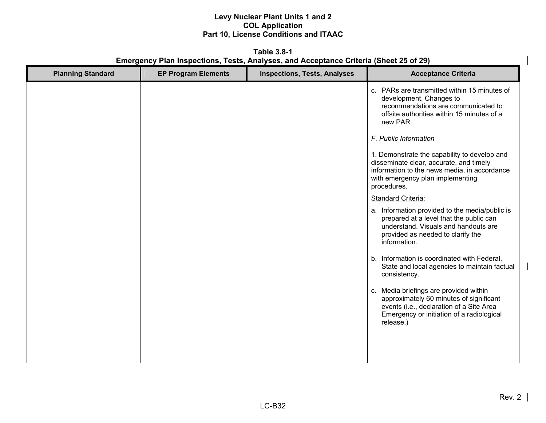**Table 3.8-1 Emergency Plan Inspections, Tests, Analyses, and Acceptance Criteria (Sheet 25 of 29)** 

| <b>Planning Standard</b> | <b>EP Program Elements</b> | <b>Inspections, Tests, Analyses</b> | <b>Acceptance Criteria</b>                                                                                                                                                                 |
|--------------------------|----------------------------|-------------------------------------|--------------------------------------------------------------------------------------------------------------------------------------------------------------------------------------------|
|                          |                            |                                     | c. PARs are transmitted within 15 minutes of<br>development. Changes to<br>recommendations are communicated to<br>offsite authorities within 15 minutes of a<br>new PAR.                   |
|                          |                            |                                     | F. Public Information                                                                                                                                                                      |
|                          |                            |                                     | 1. Demonstrate the capability to develop and<br>disseminate clear, accurate, and timely<br>information to the news media, in accordance<br>with emergency plan implementing<br>procedures. |
|                          |                            |                                     | Standard Criteria:                                                                                                                                                                         |
|                          |                            |                                     | a. Information provided to the media/public is<br>prepared at a level that the public can<br>understand. Visuals and handouts are<br>provided as needed to clarify the<br>information.     |
|                          |                            |                                     | b. Information is coordinated with Federal,<br>State and local agencies to maintain factual<br>consistency.                                                                                |
|                          |                            |                                     | c. Media briefings are provided within<br>approximately 60 minutes of significant<br>events (i.e., declaration of a Site Area<br>Emergency or initiation of a radiological<br>release.)    |
|                          |                            |                                     |                                                                                                                                                                                            |
|                          |                            |                                     |                                                                                                                                                                                            |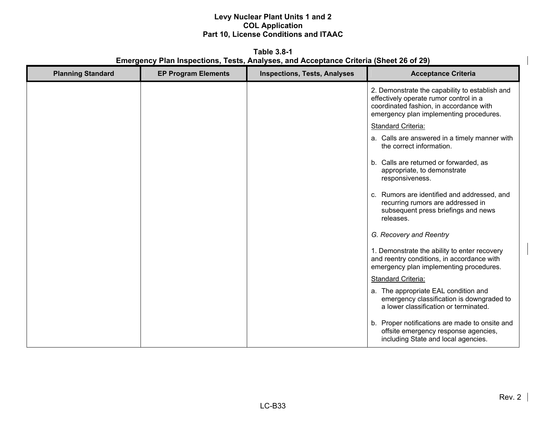**Table 3.8-1 Emergency Plan Inspections, Tests, Analyses, and Acceptance Criteria (Sheet 26 of 29)** 

| <b>Planning Standard</b> | <b>EP Program Elements</b> | <b>Inspections, Tests, Analyses</b> | <b>Acceptance Criteria</b>                                                                                                                                                     |
|--------------------------|----------------------------|-------------------------------------|--------------------------------------------------------------------------------------------------------------------------------------------------------------------------------|
|                          |                            |                                     | 2. Demonstrate the capability to establish and<br>effectively operate rumor control in a<br>coordinated fashion, in accordance with<br>emergency plan implementing procedures. |
|                          |                            |                                     | Standard Criteria:                                                                                                                                                             |
|                          |                            |                                     | a. Calls are answered in a timely manner with<br>the correct information.                                                                                                      |
|                          |                            |                                     | b. Calls are returned or forwarded, as<br>appropriate, to demonstrate<br>responsiveness.                                                                                       |
|                          |                            |                                     | c. Rumors are identified and addressed, and<br>recurring rumors are addressed in<br>subsequent press briefings and news<br>releases.                                           |
|                          |                            |                                     | G. Recovery and Reentry                                                                                                                                                        |
|                          |                            |                                     | 1. Demonstrate the ability to enter recovery<br>and reentry conditions, in accordance with<br>emergency plan implementing procedures.                                          |
|                          |                            |                                     | Standard Criteria:                                                                                                                                                             |
|                          |                            |                                     | a. The appropriate EAL condition and<br>emergency classification is downgraded to<br>a lower classification or terminated.                                                     |
|                          |                            |                                     | b. Proper notifications are made to onsite and<br>offsite emergency response agencies,<br>including State and local agencies.                                                  |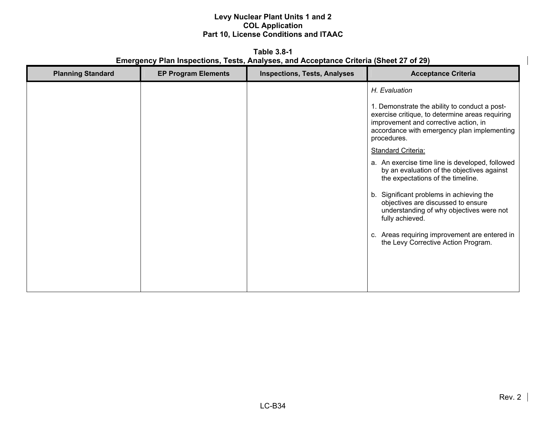**Table 3.8-1 Emergency Plan Inspections, Tests, Analyses, and Acceptance Criteria (Sheet 27 of 29)** 

| <b>Planning Standard</b> | <b>EP Program Elements</b> | <b>Inspections, Tests, Analyses</b> | <b>Acceptance Criteria</b>                                                                                                                       |
|--------------------------|----------------------------|-------------------------------------|--------------------------------------------------------------------------------------------------------------------------------------------------|
|                          |                            |                                     | H. Evaluation<br>1. Demonstrate the ability to conduct a post-<br>exercise critique, to determine areas requiring                                |
|                          |                            |                                     | improvement and corrective action, in<br>accordance with emergency plan implementing<br>procedures.                                              |
|                          |                            |                                     | <b>Standard Criteria:</b>                                                                                                                        |
|                          |                            |                                     | a. An exercise time line is developed, followed<br>by an evaluation of the objectives against<br>the expectations of the timeline.               |
|                          |                            |                                     | Significant problems in achieving the<br>b.<br>objectives are discussed to ensure<br>understanding of why objectives were not<br>fully achieved. |
|                          |                            |                                     | c. Areas requiring improvement are entered in<br>the Levy Corrective Action Program.                                                             |
|                          |                            |                                     |                                                                                                                                                  |
|                          |                            |                                     |                                                                                                                                                  |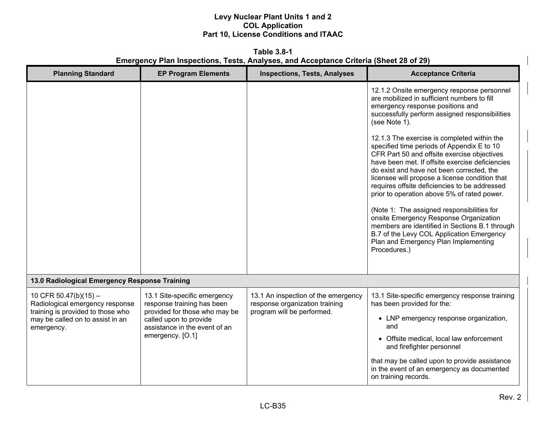**Table 3.8-1 Emergency Plan Inspections, Tests, Analyses, and Acceptance Criteria (Sheet 28 of 29)** 

| <b>Planning Standard</b>                                                                      | <b>EP Program Elements</b>                                                                  | <b>Inspections, Tests, Analyses</b>                                                                 | <b>Acceptance Criteria</b>                                                                                                                                                                                                                                                                                                                                                                                                                                                                                                                                                                                                                |
|-----------------------------------------------------------------------------------------------|---------------------------------------------------------------------------------------------|-----------------------------------------------------------------------------------------------------|-------------------------------------------------------------------------------------------------------------------------------------------------------------------------------------------------------------------------------------------------------------------------------------------------------------------------------------------------------------------------------------------------------------------------------------------------------------------------------------------------------------------------------------------------------------------------------------------------------------------------------------------|
|                                                                                               |                                                                                             |                                                                                                     | 12.1.2 Onsite emergency response personnel<br>are mobilized in sufficient numbers to fill<br>emergency response positions and<br>successfully perform assigned responsibilities<br>(see Note 1).                                                                                                                                                                                                                                                                                                                                                                                                                                          |
|                                                                                               |                                                                                             |                                                                                                     | 12.1.3 The exercise is completed within the<br>specified time periods of Appendix E to 10<br>CFR Part 50 and offsite exercise objectives<br>have been met. If offsite exercise deficiencies<br>do exist and have not been corrected, the<br>licensee will propose a license condition that<br>requires offsite deficiencies to be addressed<br>prior to operation above 5% of rated power.<br>(Note 1: The assigned responsibilities for<br>onsite Emergency Response Organization<br>members are identified in Sections B.1 through<br>B.7 of the Levy COL Application Emergency<br>Plan and Emergency Plan Implementing<br>Procedures.) |
| 13.0 Radiological Emergency Response Training                                                 |                                                                                             |                                                                                                     |                                                                                                                                                                                                                                                                                                                                                                                                                                                                                                                                                                                                                                           |
| 10 CFR 50.47(b)(15) -<br>Radiological emergency response<br>training is provided to those who | 13.1 Site-specific emergency<br>response training has been<br>provided for those who may be | 13.1 An inspection of the emergency<br>response organization training<br>program will be performed. | 13.1 Site-specific emergency response training<br>has been provided for the:                                                                                                                                                                                                                                                                                                                                                                                                                                                                                                                                                              |
| may be called on to assist in an<br>emergency.                                                | called upon to provide<br>assistance in the event of an                                     |                                                                                                     | • LNP emergency response organization,<br>and                                                                                                                                                                                                                                                                                                                                                                                                                                                                                                                                                                                             |
|                                                                                               | emergency. [O.1]                                                                            |                                                                                                     | • Offsite medical, local law enforcement<br>and firefighter personnel                                                                                                                                                                                                                                                                                                                                                                                                                                                                                                                                                                     |
|                                                                                               |                                                                                             |                                                                                                     | that may be called upon to provide assistance<br>in the event of an emergency as documented<br>on training records.                                                                                                                                                                                                                                                                                                                                                                                                                                                                                                                       |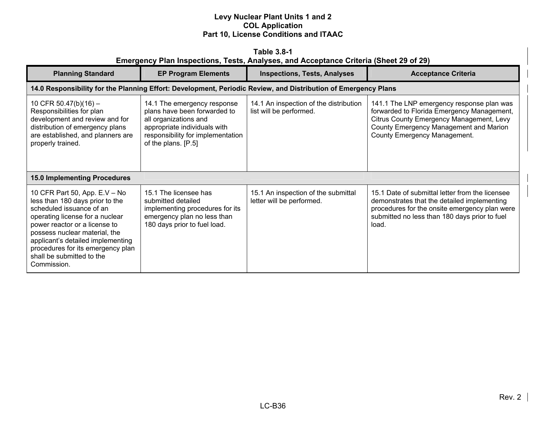| <b>Table 3.8-1</b><br>Emergency Plan Inspections, Tests, Analyses, and Acceptance Criteria (Sheet 29 of 29)                                                                                                                                                                                                             |                                                                                                                                                                                  |                                                                   |                                                                                                                                                                                                               |
|-------------------------------------------------------------------------------------------------------------------------------------------------------------------------------------------------------------------------------------------------------------------------------------------------------------------------|----------------------------------------------------------------------------------------------------------------------------------------------------------------------------------|-------------------------------------------------------------------|---------------------------------------------------------------------------------------------------------------------------------------------------------------------------------------------------------------|
| <b>Planning Standard</b>                                                                                                                                                                                                                                                                                                | <b>EP Program Elements</b>                                                                                                                                                       | <b>Inspections, Tests, Analyses</b>                               | <b>Acceptance Criteria</b>                                                                                                                                                                                    |
| 14.0 Responsibility for the Planning Effort: Development, Periodic Review, and Distribution of Emergency Plans                                                                                                                                                                                                          |                                                                                                                                                                                  |                                                                   |                                                                                                                                                                                                               |
| 10 CFR 50.47(b)(16) -<br>Responsibilities for plan<br>development and review and for<br>distribution of emergency plans<br>are established, and planners are<br>properly trained.                                                                                                                                       | 14.1 The emergency response<br>plans have been forwarded to<br>all organizations and<br>appropriate individuals with<br>responsibility for implementation<br>of the plans. [P.5] | 14.1 An inspection of the distribution<br>list will be performed. | 141.1 The LNP emergency response plan was<br>forwarded to Florida Emergency Management,<br>Citrus County Emergency Management, Levy<br>County Emergency Management and Marion<br>County Emergency Management. |
| <b>15.0 Implementing Procedures</b>                                                                                                                                                                                                                                                                                     |                                                                                                                                                                                  |                                                                   |                                                                                                                                                                                                               |
| 10 CFR Part 50, App. E.V - No<br>less than 180 days prior to the<br>scheduled issuance of an<br>operating license for a nuclear<br>power reactor or a license to<br>possess nuclear material, the<br>applicant's detailed implementing<br>procedures for its emergency plan<br>shall be submitted to the<br>Commission. | 15.1 The licensee has<br>submitted detailed<br>implementing procedures for its<br>emergency plan no less than<br>180 days prior to fuel load.                                    | 15.1 An inspection of the submittal<br>letter will be performed.  | 15.1 Date of submittal letter from the licensee<br>demonstrates that the detailed implementing<br>procedures for the onsite emergency plan were<br>submitted no less than 180 days prior to fuel<br>load.     |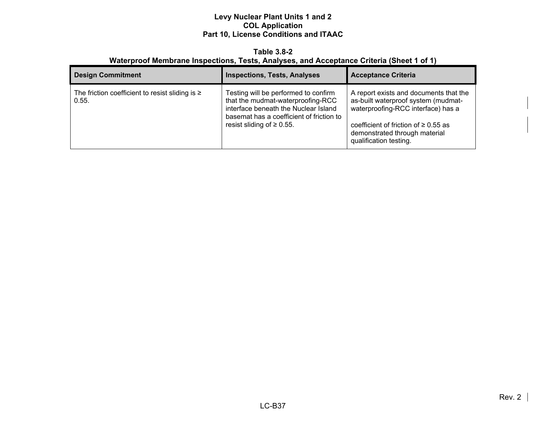**Table 3.8-2 Waterproof Membrane Inspections, Tests, Analyses, and Acceptance Criteria (Sheet 1 of 1)** 

| <b>Design Commitment</b>                                      | <b>Inspections, Tests, Analyses</b>                                                                                                                                                              | <b>Acceptance Criteria</b>                                                                                                                                                                                                  |
|---------------------------------------------------------------|--------------------------------------------------------------------------------------------------------------------------------------------------------------------------------------------------|-----------------------------------------------------------------------------------------------------------------------------------------------------------------------------------------------------------------------------|
| The friction coefficient to resist sliding is $\geq$<br>0.55. | Testing will be performed to confirm<br>that the mudmat-waterproofing-RCC<br>interface beneath the Nuclear Island<br>basemat has a coefficient of friction to<br>resist sliding of $\geq 0.55$ . | A report exists and documents that the<br>as-built waterproof system (mudmat-<br>waterproofing-RCC interface) has a<br>coefficient of friction of $\geq 0.55$ as<br>demonstrated through material<br>qualification testing. |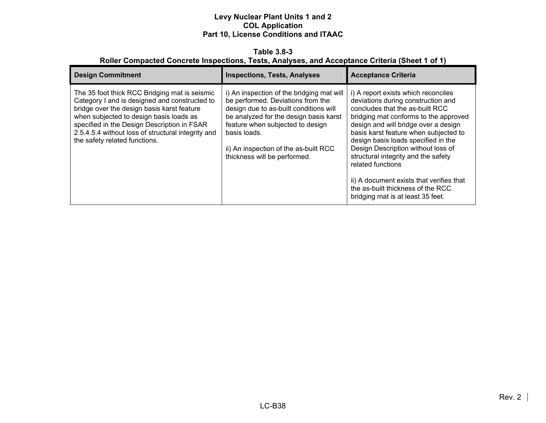#### **Table 3.8-3 Roller Compacted Concrete Inspections, Tests, Analyses, and Acceptance Criteria (Sheet 1 of 1)**

| <b>Design Commitment</b>                                                                                                                                                                                                                                                                                                      | <b>Inspections, Tests, Analyses</b>                                                                                                                                                                                                                                                             | <b>Acceptance Criteria</b>                                                                                                                                                                                                                                                                                                                                                                                                                                                                            |
|-------------------------------------------------------------------------------------------------------------------------------------------------------------------------------------------------------------------------------------------------------------------------------------------------------------------------------|-------------------------------------------------------------------------------------------------------------------------------------------------------------------------------------------------------------------------------------------------------------------------------------------------|-------------------------------------------------------------------------------------------------------------------------------------------------------------------------------------------------------------------------------------------------------------------------------------------------------------------------------------------------------------------------------------------------------------------------------------------------------------------------------------------------------|
| The 35 foot thick RCC Bridging mat is seismic<br>Category I and is designed and constructed to<br>bridge over the design basis karst feature<br>when subjected to design basis loads as<br>specified in the Design Description in FSAR<br>2.5.4.5.4 without loss of structural integrity and<br>the safety related functions. | i) An inspection of the bridging mat will<br>be performed. Deviations from the<br>design due to as-built conditions will<br>be analyzed for the design basis karst<br>feature when subjected to design<br>basis loads.<br>ii) An inspection of the as-built RCC<br>thickness will be performed. | i) A report exists which reconciles<br>deviations during construction and<br>concludes that the as-built RCC<br>bridging mat conforms to the approved<br>design and will bridge over a design<br>basis karst feature when subjected to<br>design basis loads specified in the<br>Design Description without loss of<br>structural integrity and the safety<br>related functions<br>ii) A document exists that verifies that<br>the as-built thickness of the RCC<br>bridging mat is at least 35 feet. |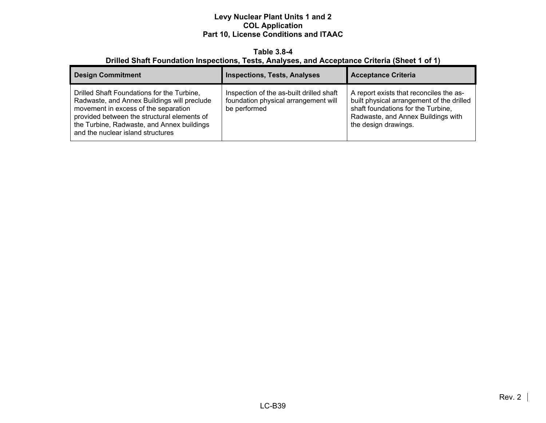#### **Table 3.8-4 Drilled Shaft Foundation Inspections, Tests, Analyses, and Acceptance Criteria (Sheet 1 of 1)**

| <b>Design Commitment</b>                                                                                                                                                                                                                                            | <b>Inspections, Tests, Analyses</b>                                                              | <b>Acceptance Criteria</b>                                                                                                                                                               |
|---------------------------------------------------------------------------------------------------------------------------------------------------------------------------------------------------------------------------------------------------------------------|--------------------------------------------------------------------------------------------------|------------------------------------------------------------------------------------------------------------------------------------------------------------------------------------------|
| Drilled Shaft Foundations for the Turbine,<br>Radwaste, and Annex Buildings will preclude<br>movement in excess of the separation<br>provided between the structural elements of<br>the Turbine, Radwaste, and Annex buildings<br>and the nuclear island structures | Inspection of the as-built drilled shaft<br>foundation physical arrangement will<br>be performed | A report exists that reconciles the as-<br>built physical arrangement of the drilled<br>shaft foundations for the Turbine,<br>Radwaste, and Annex Buildings with<br>the design drawings. |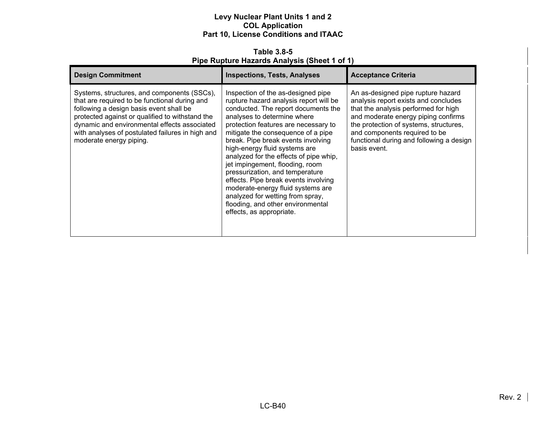**Table 3.8-5 Pipe Rupture Hazards Analysis (Sheet 1 of 1)** 

| <b>Design Commitment</b>                                                                                                                                                                                                                                                                                                  | <b>Inspections, Tests, Analyses</b>                                                                                                                                                                                                                                                                                                                                                                                                                                                                                                                                                                       | <b>Acceptance Criteria</b>                                                                                                                                                                                                                                                                       |
|---------------------------------------------------------------------------------------------------------------------------------------------------------------------------------------------------------------------------------------------------------------------------------------------------------------------------|-----------------------------------------------------------------------------------------------------------------------------------------------------------------------------------------------------------------------------------------------------------------------------------------------------------------------------------------------------------------------------------------------------------------------------------------------------------------------------------------------------------------------------------------------------------------------------------------------------------|--------------------------------------------------------------------------------------------------------------------------------------------------------------------------------------------------------------------------------------------------------------------------------------------------|
| Systems, structures, and components (SSCs),<br>that are required to be functional during and<br>following a design basis event shall be<br>protected against or qualified to withstand the<br>dynamic and environmental effects associated<br>with analyses of postulated failures in high and<br>moderate energy piping. | Inspection of the as-designed pipe<br>rupture hazard analysis report will be<br>conducted. The report documents the<br>analyses to determine where<br>protection features are necessary to<br>mitigate the consequence of a pipe<br>break. Pipe break events involving<br>high-energy fluid systems are<br>analyzed for the effects of pipe whip,<br>jet impingement, flooding, room<br>pressurization, and temperature<br>effects. Pipe break events involving<br>moderate-energy fluid systems are<br>analyzed for wetting from spray,<br>flooding, and other environmental<br>effects, as appropriate. | An as-designed pipe rupture hazard<br>analysis report exists and concludes<br>that the analysis performed for high<br>and moderate energy piping confirms<br>the protection of systems, structures,<br>and components required to be<br>functional during and following a design<br>basis event. |